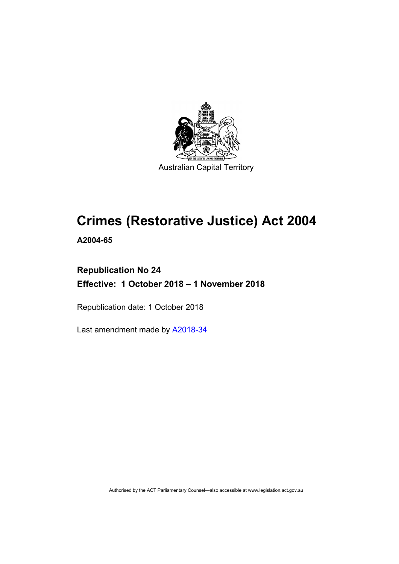

# **Crimes (Restorative Justice) Act 2004**

**A2004-65**

# **Republication No 24 Effective: 1 October 2018 – 1 November 2018**

Republication date: 1 October 2018

Last amendment made by [A2018-34](http://www.legislation.act.gov.au/a/2018-34/default.asp)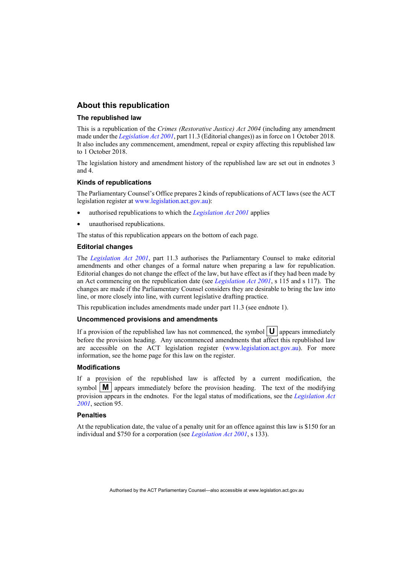## **About this republication**

#### **The republished law**

This is a republication of the *Crimes (Restorative Justice) Act 2004* (including any amendment made under the *[Legislation Act 2001](http://www.legislation.act.gov.au/a/2001-14)*, part 11.3 (Editorial changes)) as in force on 1 October 2018*.*  It also includes any commencement, amendment, repeal or expiry affecting this republished law to 1 October 2018.

The legislation history and amendment history of the republished law are set out in endnotes 3 and 4.

#### **Kinds of republications**

The Parliamentary Counsel's Office prepares 2 kinds of republications of ACT laws (see the ACT legislation register at [www.legislation.act.gov.au\)](http://www.legislation.act.gov.au/):

- authorised republications to which the *[Legislation Act 2001](http://www.legislation.act.gov.au/a/2001-14)* applies
- unauthorised republications.

The status of this republication appears on the bottom of each page.

#### **Editorial changes**

The *[Legislation Act 2001](http://www.legislation.act.gov.au/a/2001-14)*, part 11.3 authorises the Parliamentary Counsel to make editorial amendments and other changes of a formal nature when preparing a law for republication. Editorial changes do not change the effect of the law, but have effect as if they had been made by an Act commencing on the republication date (see *[Legislation Act 2001](http://www.legislation.act.gov.au/a/2001-14)*, s 115 and s 117). The changes are made if the Parliamentary Counsel considers they are desirable to bring the law into line, or more closely into line, with current legislative drafting practice.

This republication includes amendments made under part 11.3 (see endnote 1).

#### **Uncommenced provisions and amendments**

If a provision of the republished law has not commenced, the symbol  $|\mathbf{U}|$  appears immediately before the provision heading. Any uncommenced amendments that affect this republished law are accessible on the ACT legislation register [\(www.legislation.act.gov.au\)](http://www.legislation.act.gov.au/). For more information, see the home page for this law on the register.

#### **Modifications**

If a provision of the republished law is affected by a current modification, the symbol  $\mathbf{M}$  appears immediately before the provision heading. The text of the modifying provision appears in the endnotes. For the legal status of modifications, see the *Legislation Act [2001](http://www.legislation.act.gov.au/a/2001-14)*, section 95.

#### **Penalties**

At the republication date, the value of a penalty unit for an offence against this law is \$150 for an individual and \$750 for a corporation (see *[Legislation Act 2001](http://www.legislation.act.gov.au/a/2001-14)*, s 133).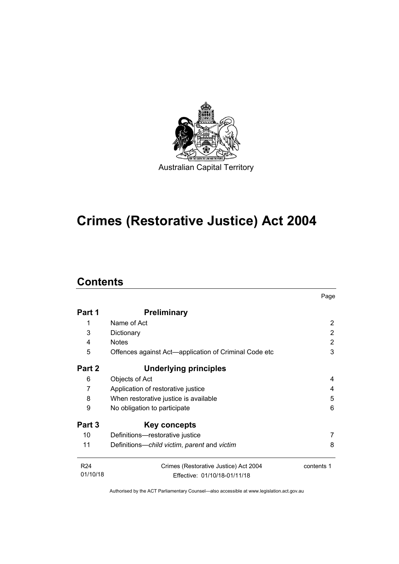

# **Crimes (Restorative Justice) Act 2004**

# **Contents**

|                 |                                                       | Page       |  |
|-----------------|-------------------------------------------------------|------------|--|
| Part 1          | <b>Preliminary</b>                                    |            |  |
| 1               | Name of Act                                           | 2          |  |
| 3               | Dictionary                                            | 2          |  |
| 4               | <b>Notes</b>                                          | 2          |  |
| 5               | Offences against Act—application of Criminal Code etc |            |  |
| Part 2          | Underlying principles                                 |            |  |
| 6               | Objects of Act                                        | 4          |  |
| 7               | Application of restorative justice                    | 4          |  |
| 8               | 5<br>When restorative justice is available            |            |  |
| 9               | No obligation to participate                          |            |  |
| Part 3          | Key concepts                                          |            |  |
| 10              | Definitions-restorative justice                       |            |  |
| 11              | Definitions—child victim, parent and victim           | 8          |  |
| R <sub>24</sub> | Crimes (Restorative Justice) Act 2004                 | contents 1 |  |
| 01/10/18        | Effective: 01/10/18-01/11/18                          |            |  |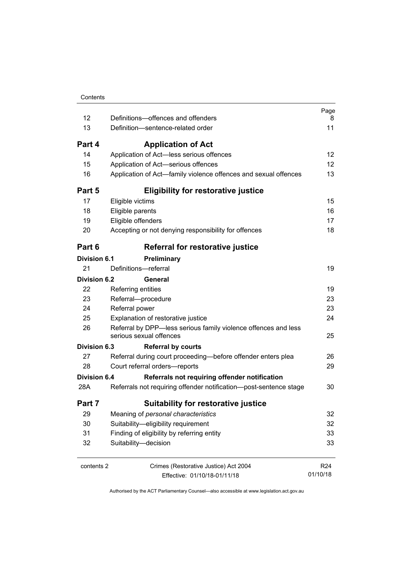| 12<br>13                                                                                                                                    | Definitions-offences and offenders<br>Definition-sentence-related order                                | Page<br>8<br>11                    |
|---------------------------------------------------------------------------------------------------------------------------------------------|--------------------------------------------------------------------------------------------------------|------------------------------------|
| Part 4                                                                                                                                      |                                                                                                        |                                    |
|                                                                                                                                             | <b>Application of Act</b>                                                                              |                                    |
| 14<br>15                                                                                                                                    | Application of Act-less serious offences                                                               | 12 <sub>2</sub><br>12 <sub>2</sub> |
| 16                                                                                                                                          | Application of Act-serious offences<br>Application of Act—family violence offences and sexual offences | 13                                 |
| Part 5                                                                                                                                      | <b>Eligibility for restorative justice</b>                                                             |                                    |
| 17                                                                                                                                          | Eligible victims                                                                                       | 15                                 |
| 18                                                                                                                                          | Eligible parents                                                                                       | 16                                 |
| 19                                                                                                                                          | Eligible offenders                                                                                     | 17                                 |
| 20                                                                                                                                          | Accepting or not denying responsibility for offences                                                   | 18                                 |
| Part 6                                                                                                                                      | Referral for restorative justice                                                                       |                                    |
| <b>Division 6.1</b>                                                                                                                         | Preliminary                                                                                            |                                    |
| 21                                                                                                                                          | Definitions-referral                                                                                   | 19                                 |
| Division 6.2                                                                                                                                | General                                                                                                |                                    |
| 22                                                                                                                                          | Referring entities                                                                                     | 19                                 |
| 23                                                                                                                                          | Referral-procedure                                                                                     | 23                                 |
| 24                                                                                                                                          | Referral power                                                                                         | 23                                 |
| Explanation of restorative justice<br>25<br>Referral by DPP-less serious family violence offences and less<br>26<br>serious sexual offences |                                                                                                        |                                    |
|                                                                                                                                             |                                                                                                        |                                    |
| 27                                                                                                                                          | Referral during court proceeding-before offender enters plea                                           | 26                                 |
| 28                                                                                                                                          | Court referral orders-reports                                                                          | 29                                 |
| <b>Division 6.4</b>                                                                                                                         | Referrals not requiring offender notification                                                          |                                    |
| 28A                                                                                                                                         | Referrals not requiring offender notification--post-sentence stage                                     | 30                                 |
| Part 7                                                                                                                                      | Suitability for restorative justice                                                                    |                                    |
| 29                                                                                                                                          | Meaning of personal characteristics                                                                    | 32                                 |
| 30                                                                                                                                          | Suitability-eligibility requirement                                                                    | 32                                 |
| 31                                                                                                                                          | Finding of eligibility by referring entity                                                             | 33                                 |
| 32                                                                                                                                          | Suitability-decision                                                                                   | 33                                 |
| contents 2                                                                                                                                  | Crimes (Restorative Justice) Act 2004                                                                  | R <sub>24</sub>                    |
|                                                                                                                                             | Effective: 01/10/18-01/11/18                                                                           | 01/10/18                           |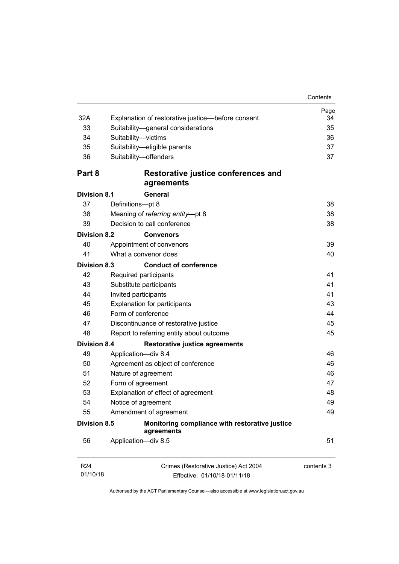| Contents |
|----------|
|          |

| 32A                         | Explanation of restorative justice-before consent                                                                                                                             | Page<br>34 |  |
|-----------------------------|-------------------------------------------------------------------------------------------------------------------------------------------------------------------------------|------------|--|
| 33                          | Suitability-general considerations                                                                                                                                            |            |  |
| 34                          | Suitability-victims                                                                                                                                                           |            |  |
| 35                          | Suitability-eligible parents                                                                                                                                                  | 36<br>37   |  |
| 36                          | Suitability-offenders                                                                                                                                                         | 37         |  |
| Part 8                      | Restorative justice conferences and<br>agreements                                                                                                                             |            |  |
| <b>Division 8.1</b>         | General                                                                                                                                                                       |            |  |
| 37                          | Definitions-pt 8                                                                                                                                                              | 38         |  |
| 38                          | Meaning of referring entity-pt 8                                                                                                                                              | 38         |  |
| 39                          | Decision to call conference                                                                                                                                                   | 38         |  |
| <b>Division 8.2</b>         | <b>Convenors</b>                                                                                                                                                              |            |  |
| 40                          | Appointment of convenors                                                                                                                                                      | 39         |  |
| 41                          | What a convenor does                                                                                                                                                          | 40         |  |
| <b>Division 8.3</b>         | <b>Conduct of conference</b>                                                                                                                                                  |            |  |
| 42                          | Required participants                                                                                                                                                         | 41         |  |
| 43                          | Substitute participants<br>44<br>Invited participants<br><b>Explanation for participants</b><br>45<br>46<br>Form of conference<br>47<br>Discontinuance of restorative justice |            |  |
|                             |                                                                                                                                                                               |            |  |
|                             |                                                                                                                                                                               |            |  |
|                             |                                                                                                                                                                               |            |  |
|                             |                                                                                                                                                                               |            |  |
| 48                          | Report to referring entity about outcome                                                                                                                                      | 45         |  |
| <b>Division 8.4</b>         | <b>Restorative justice agreements</b>                                                                                                                                         |            |  |
| 49                          | Application-div 8.4                                                                                                                                                           | 46         |  |
| 50                          | Agreement as object of conference                                                                                                                                             |            |  |
| 51                          | Nature of agreement                                                                                                                                                           |            |  |
| 52                          | Form of agreement                                                                                                                                                             |            |  |
| 53                          | Explanation of effect of agreement                                                                                                                                            | 48         |  |
| 54                          | Notice of agreement<br>55<br>Amendment of agreement                                                                                                                           |            |  |
|                             |                                                                                                                                                                               |            |  |
| <b>Division 8.5</b>         | Monitoring compliance with restorative justice<br>agreements                                                                                                                  |            |  |
| 56                          | Application-div 8.5                                                                                                                                                           | 51         |  |
| R <sub>24</sub><br>01/10/18 | Crimes (Restorative Justice) Act 2004                                                                                                                                         | contents 3 |  |
|                             | Effective: 01/10/18-01/11/18                                                                                                                                                  |            |  |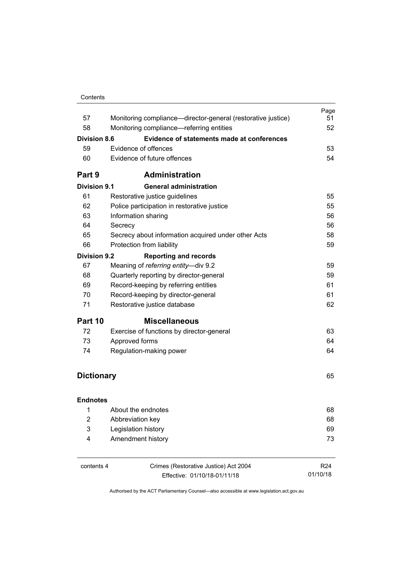| Contents |  |
|----------|--|
|          |  |

|                                 |                                                                                                                                   | Page            |  |  |
|---------------------------------|-----------------------------------------------------------------------------------------------------------------------------------|-----------------|--|--|
| 57                              | Monitoring compliance—director-general (restorative justice)                                                                      | 51              |  |  |
| 58                              | Monitoring compliance-referring entities                                                                                          | 52              |  |  |
| <b>Division 8.6</b>             | <b>Evidence of statements made at conferences</b>                                                                                 | 53              |  |  |
|                                 | Evidence of offences<br>59                                                                                                        |                 |  |  |
| 60                              | Evidence of future offences                                                                                                       | 54              |  |  |
| Part 9                          | <b>Administration</b>                                                                                                             |                 |  |  |
| Division 9.1                    | <b>General administration</b>                                                                                                     |                 |  |  |
| 61                              | Restorative justice guidelines                                                                                                    | 55              |  |  |
| 62                              | Police participation in restorative justice                                                                                       | 55              |  |  |
| 63                              | Information sharing                                                                                                               | 56              |  |  |
| 64                              | Secrecy                                                                                                                           | 56              |  |  |
| 65                              | Secrecy about information acquired under other Acts                                                                               | 58              |  |  |
| 66<br>Protection from liability |                                                                                                                                   |                 |  |  |
| <b>Division 9.2</b>             | <b>Reporting and records</b>                                                                                                      |                 |  |  |
| 67                              | Meaning of referring entity-div 9.2                                                                                               | 59              |  |  |
| 68                              | Quarterly reporting by director-general<br>69<br>Record-keeping by referring entities<br>70<br>Record-keeping by director-general |                 |  |  |
|                                 |                                                                                                                                   |                 |  |  |
|                                 |                                                                                                                                   |                 |  |  |
| 71                              | Restorative justice database                                                                                                      |                 |  |  |
| Part 10                         | <b>Miscellaneous</b>                                                                                                              |                 |  |  |
| 72                              | Exercise of functions by director-general                                                                                         | 63              |  |  |
| 73                              | Approved forms                                                                                                                    | 64              |  |  |
| 74                              | Regulation-making power                                                                                                           |                 |  |  |
| <b>Dictionary</b>               |                                                                                                                                   | 65              |  |  |
| <b>Endnotes</b>                 |                                                                                                                                   |                 |  |  |
| 1                               | About the endnotes                                                                                                                | 68              |  |  |
| 2                               | Abbreviation key                                                                                                                  | 68              |  |  |
| 3                               | Legislation history                                                                                                               | 69              |  |  |
| 4                               | Amendment history                                                                                                                 | 73              |  |  |
| contents 4                      | Crimes (Restorative Justice) Act 2004                                                                                             | R <sub>24</sub> |  |  |
|                                 | Effective: 01/10/18-01/11/18                                                                                                      | 01/10/18        |  |  |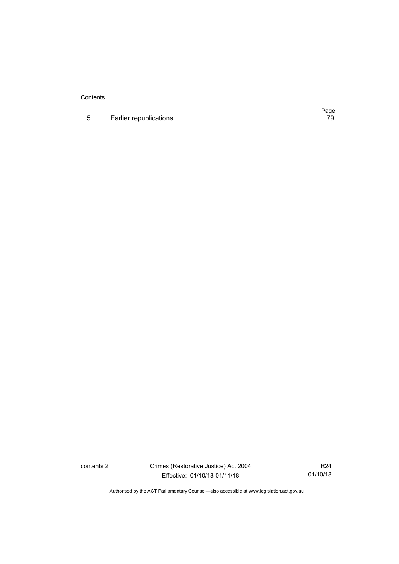**Contents** 

5 [Earlier republications](#page-86-0)

Page<br>79

contents 2 Crimes (Restorative Justice) Act 2004 Effective: 01/10/18-01/11/18

R24 01/10/18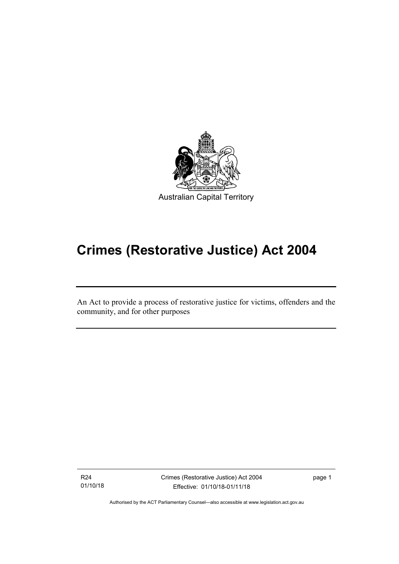

# **Crimes (Restorative Justice) Act 2004**

An Act to provide a process of restorative justice for victims, offenders and the community, and for other purposes

R24 01/10/18

I

Crimes (Restorative Justice) Act 2004 Effective: 01/10/18-01/11/18

page 1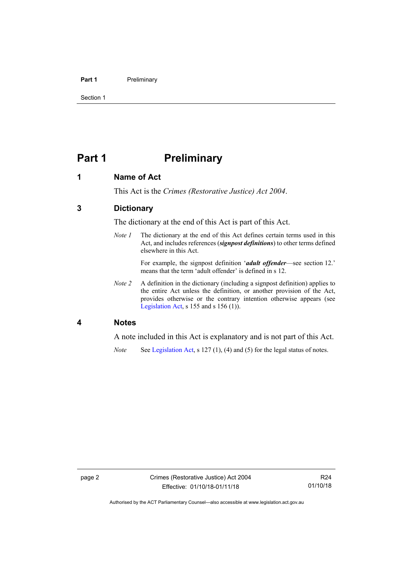#### Part 1 **Preliminary**

Section 1

# <span id="page-9-0"></span>**Part 1 Preliminary**

## <span id="page-9-1"></span>**1 Name of Act**

This Act is the *Crimes (Restorative Justice) Act 2004*.

# <span id="page-9-2"></span>**3 Dictionary**

The dictionary at the end of this Act is part of this Act.

*Note 1* The dictionary at the end of this Act defines certain terms used in this Act, and includes references (*signpost definitions*) to other terms defined elsewhere in this Act.

> For example, the signpost definition '*adult offender*—see section 12.' means that the term 'adult offender' is defined in s 12.

*Note 2* A definition in the dictionary (including a signpost definition) applies to the entire Act unless the definition, or another provision of the Act, provides otherwise or the contrary intention otherwise appears (see [Legislation Act,](http://www.legislation.act.gov.au/a/2001-14) s  $155$  and s  $156$  (1)).

## <span id="page-9-3"></span>**4 Notes**

A note included in this Act is explanatory and is not part of this Act.

*Note* See [Legislation Act,](http://www.legislation.act.gov.au/a/2001-14) s 127 (1), (4) and (5) for the legal status of notes.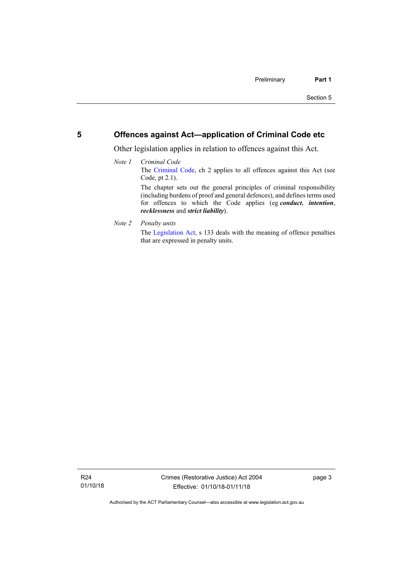## <span id="page-10-0"></span>**5 Offences against Act—application of Criminal Code etc**

Other legislation applies in relation to offences against this Act.

- *Note 1 Criminal Code* The [Criminal Code,](http://www.legislation.act.gov.au/a/2002-51) ch 2 applies to all offences against this Act (see Code, pt 2.1). The chapter sets out the general principles of criminal responsibility (including burdens of proof and general defences), and defines terms used for offences to which the Code applies (eg *conduct*, *intention*, *recklessness* and *strict liability*).
- *Note 2 Penalty units*

The [Legislation Act,](http://www.legislation.act.gov.au/a/2001-14) s 133 deals with the meaning of offence penalties that are expressed in penalty units.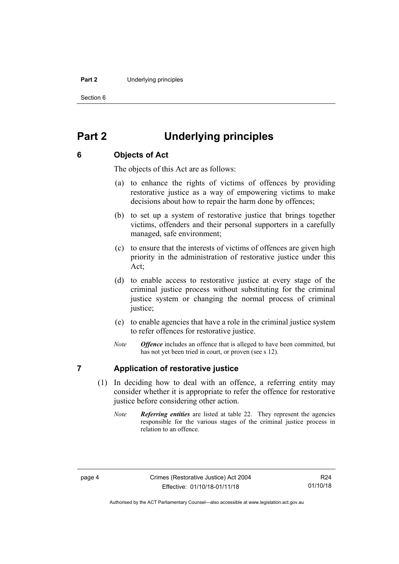#### **Part 2** Underlying principles

Section 6

# <span id="page-11-0"></span>**Part 2 Underlying principles**

# <span id="page-11-1"></span>**6 Objects of Act**

The objects of this Act are as follows:

- (a) to enhance the rights of victims of offences by providing restorative justice as a way of empowering victims to make decisions about how to repair the harm done by offences;
- (b) to set up a system of restorative justice that brings together victims, offenders and their personal supporters in a carefully managed, safe environment;
- (c) to ensure that the interests of victims of offences are given high priority in the administration of restorative justice under this Act;
- (d) to enable access to restorative justice at every stage of the criminal justice process without substituting for the criminal justice system or changing the normal process of criminal justice:
- (e) to enable agencies that have a role in the criminal justice system to refer offences for restorative justice.
- *Note Offence* includes an offence that is alleged to have been committed, but has not yet been tried in court, or proven (see s 12).

# <span id="page-11-2"></span>**7 Application of restorative justice**

- (1) In deciding how to deal with an offence, a referring entity may consider whether it is appropriate to refer the offence for restorative justice before considering other action.
	- *Note Referring entities* are listed at table 22. They represent the agencies responsible for the various stages of the criminal justice process in relation to an offence.

Authorised by the ACT Parliamentary Counsel—also accessible at www.legislation.act.gov.au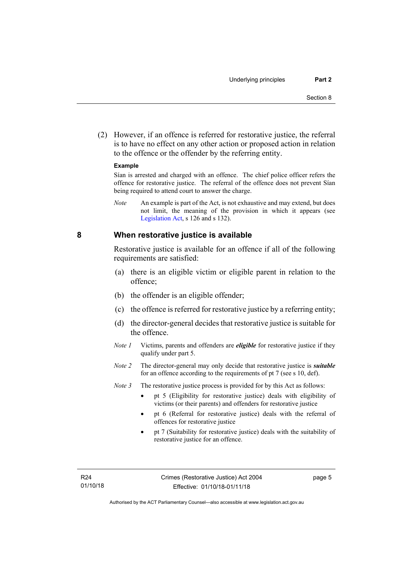(2) However, if an offence is referred for restorative justice, the referral is to have no effect on any other action or proposed action in relation to the offence or the offender by the referring entity.

#### **Example**

Sían is arrested and charged with an offence. The chief police officer refers the offence for restorative justice. The referral of the offence does not prevent Sían being required to attend court to answer the charge.

*Note* An example is part of the Act, is not exhaustive and may extend, but does not limit, the meaning of the provision in which it appears (see [Legislation Act,](http://www.legislation.act.gov.au/a/2001-14) s 126 and s 132).

### <span id="page-12-0"></span>**8 When restorative justice is available**

Restorative justice is available for an offence if all of the following requirements are satisfied:

- (a) there is an eligible victim or eligible parent in relation to the offence;
- (b) the offender is an eligible offender;
- (c) the offence is referred for restorative justice by a referring entity;
- (d) the director-general decides that restorative justice is suitable for the offence.
- *Note 1* Victims, parents and offenders are *eligible* for restorative justice if they qualify under part 5.
- *Note 2* The director-general may only decide that restorative justice is *suitable*  for an offence according to the requirements of pt 7 (see s 10, def).

*Note* 3 The restorative justice process is provided for by this Act as follows:

- pt 5 (Eligibility for restorative justice) deals with eligibility of victims (or their parents) and offenders for restorative justice
- pt 6 (Referral for restorative justice) deals with the referral of offences for restorative justice
- pt 7 (Suitability for restorative justice) deals with the suitability of restorative justice for an offence.

page 5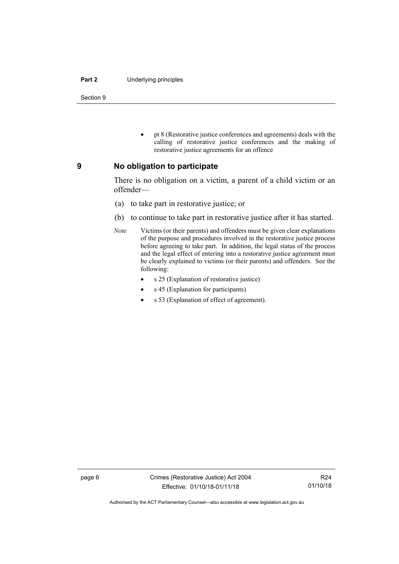#### **Part 2** Underlying principles

Section 9

• pt 8 (Restorative justice conferences and agreements) deals with the calling of restorative justice conferences and the making of restorative justice agreements for an offence

### <span id="page-13-0"></span>**9 No obligation to participate**

There is no obligation on a victim, a parent of a child victim or an offender—

- (a) to take part in restorative justice; or
- (b) to continue to take part in restorative justice after it has started.
- *Note* Victims (or their parents) and offenders must be given clear explanations of the purpose and procedures involved in the restorative justice process before agreeing to take part. In addition, the legal status of the process and the legal effect of entering into a restorative justice agreement must be clearly explained to victims (or their parents) and offenders. See the following:
	- s 25 (Explanation of restorative justice)
	- s 45 (Explanation for participants)
	- s 53 (Explanation of effect of agreement).

Authorised by the ACT Parliamentary Counsel—also accessible at www.legislation.act.gov.au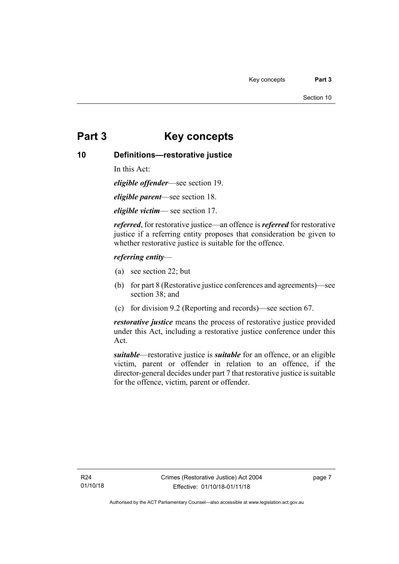# <span id="page-14-0"></span>**Part 3 Key concepts**

# <span id="page-14-1"></span>**10 Definitions—restorative justice**

In this Act:

*eligible offender*—see section 19.

*eligible parent*—see section 18.

*eligible victim*— see section 17.

*referred*, for restorative justice—an offence is *referred* for restorative justice if a referring entity proposes that consideration be given to whether restorative justice is suitable for the offence.

### *referring entity*—

- (a) see section 22; but
- (b) for part 8 (Restorative justice conferences and agreements)—see section 38; and
- (c) for division 9.2 (Reporting and records)—see section 67.

*restorative justice* means the process of restorative justice provided under this Act, including a restorative justice conference under this Act.

*suitable*—restorative justice is *suitable* for an offence, or an eligible victim, parent or offender in relation to an offence, if the director-general decides under part 7 that restorative justice is suitable for the offence, victim, parent or offender.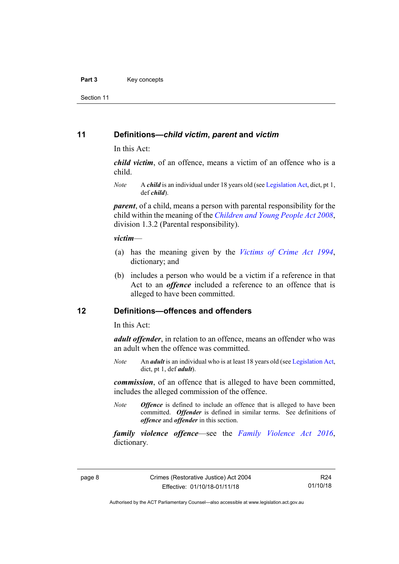#### Part 3 **Key concepts**

Section 11

### <span id="page-15-0"></span>**11 Definitions—***child victim***,** *parent* **and** *victim*

In this Act:

*child victim*, of an offence, means a victim of an offence who is a child.

*Note* A *child* is an individual under 18 years old (se[e Legislation Act,](http://www.legislation.act.gov.au/a/2001-14) dict, pt 1, def *child*).

*parent*, of a child, means a person with parental responsibility for the child within the meaning of the *[Children and Young People Act 2008](http://www.legislation.act.gov.au/a/2008-19)*, division 1.3.2 (Parental responsibility).

#### *victim*—

- (a) has the meaning given by the *[Victims of Crime Act 1994](http://www.legislation.act.gov.au/a/1994-83)*, dictionary; and
- (b) includes a person who would be a victim if a reference in that Act to an *offence* included a reference to an offence that is alleged to have been committed.

## <span id="page-15-1"></span>**12 Definitions—offences and offenders**

In this Act:

*adult offender*, in relation to an offence, means an offender who was an adult when the offence was committed.

*Note* An *adult* is an individual who is at least 18 years old (se[e Legislation Act,](http://www.legislation.act.gov.au/a/2001-14) dict, pt 1, def *adult*).

*commission*, of an offence that is alleged to have been committed, includes the alleged commission of the offence.

*Note Offence* is defined to include an offence that is alleged to have been committed. *Offender* is defined in similar terms. See definitions of *offence* and *offender* in this section.

*family violence offence*—see the *[Family Violence Act 2016](http://www.legislation.act.gov.au/a/2016-42)*, dictionary*.*

R24 01/10/18

Authorised by the ACT Parliamentary Counsel—also accessible at www.legislation.act.gov.au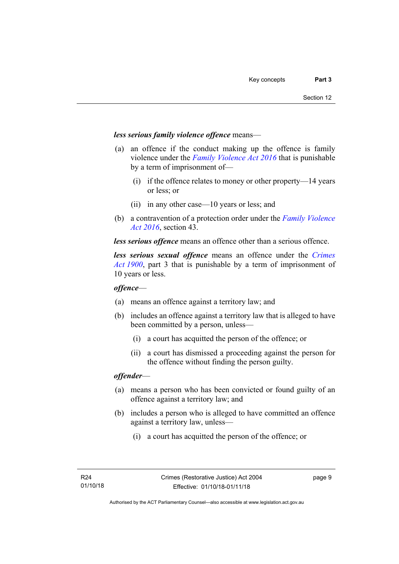#### *less serious family violence offence* means—

- (a) an offence if the conduct making up the offence is family violence under the *[Family Violence Act 2016](http://www.legislation.act.gov.au/a/2016-42)* that is punishable by a term of imprisonment of—
	- (i) if the offence relates to money or other property—14 years or less; or
	- (ii) in any other case—10 years or less; and
- (b) a contravention of a protection order under the *[Family Violence](http://www.legislation.act.gov.au/a/2016-42)  [Act 2016](http://www.legislation.act.gov.au/a/2016-42)*, section 43.

*less serious offence* means an offence other than a serious offence.

*less serious sexual offence* means an offence under the *[Crimes](http://www.legislation.act.gov.au/a/1900-40)  Act [1900](http://www.legislation.act.gov.au/a/1900-40)*, part 3 that is punishable by a term of imprisonment of 10 years or less.

#### *offence*—

- (a) means an offence against a territory law; and
- (b) includes an offence against a territory law that is alleged to have been committed by a person, unless—
	- (i) a court has acquitted the person of the offence; or
	- (ii) a court has dismissed a proceeding against the person for the offence without finding the person guilty.

#### *offender*—

- (a) means a person who has been convicted or found guilty of an offence against a territory law; and
- (b) includes a person who is alleged to have committed an offence against a territory law, unless—
	- (i) a court has acquitted the person of the offence; or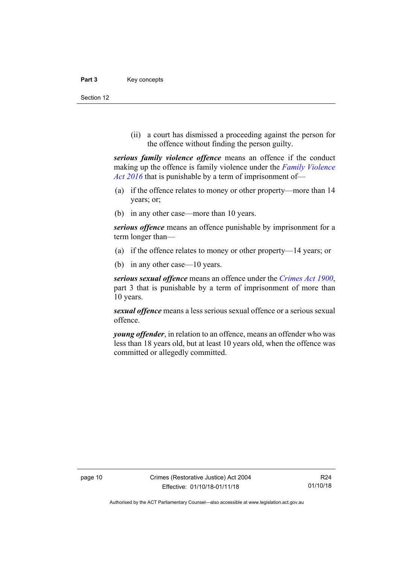#### Part 3 **Key concepts**

Section 12

(ii) a court has dismissed a proceeding against the person for the offence without finding the person guilty.

*serious family violence offence* means an offence if the conduct making up the offence is family violence under the *[Family Violence](http://www.legislation.act.gov.au/a/2016-42)  Act [2016](http://www.legislation.act.gov.au/a/2016-42)* that is punishable by a term of imprisonment of—

- (a) if the offence relates to money or other property—more than 14 years; or;
- (b) in any other case—more than 10 years.

*serious offence* means an offence punishable by imprisonment for a term longer than—

- (a) if the offence relates to money or other property—14 years; or
- (b) in any other case—10 years.

*serious sexual offence* means an offence under the *[Crimes Act](http://www.legislation.act.gov.au/a/1900-40) 1900*, part 3 that is punishable by a term of imprisonment of more than 10 years.

*sexual offence* means a less serious sexual offence or a serious sexual offence.

*young offender*, in relation to an offence, means an offender who was less than 18 years old, but at least 10 years old, when the offence was committed or allegedly committed.

Authorised by the ACT Parliamentary Counsel—also accessible at www.legislation.act.gov.au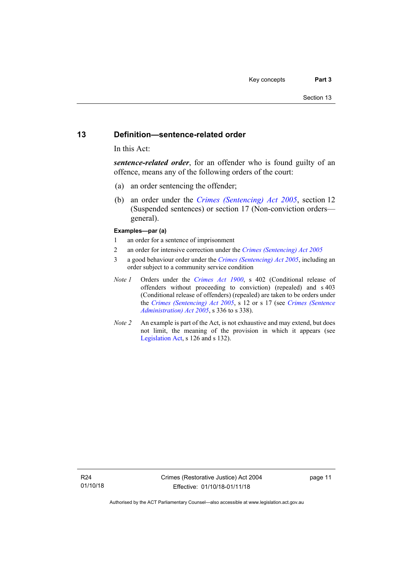### <span id="page-18-0"></span>**13 Definition—sentence-related order**

In this Act:

*sentence-related order*, for an offender who is found guilty of an offence, means any of the following orders of the court:

- (a) an order sentencing the offender;
- (b) an order under the *[Crimes \(Sentencing\) Act 2005](http://www.legislation.act.gov.au/a/2005-58)*, section 12 (Suspended sentences) or section 17 (Non-conviction orders general).

#### **Examples—par (a)**

- 1 an order for a sentence of imprisonment
- 2 an order for intensive correction under the *[Crimes \(Sentencing\) Act](http://www.legislation.act.gov.au/a/2005-58) 2005*
- 3 a good behaviour order under the *[Crimes \(Sentencing\) Act 2005](http://www.legislation.act.gov.au/a/2005-58)*, including an order subject to a community service condition
- *Note 1* Orders under the *[Crimes Act 1900](http://www.legislation.act.gov.au/a/1900-40)*, s 402 (Conditional release of offenders without proceeding to conviction) (repealed) and s 403 (Conditional release of offenders) (repealed) are taken to be orders under the *[Crimes \(Sentencing\) Act 2005](http://www.legislation.act.gov.au/a/2005-58)*, s 12 or s 17 (see *[Crimes \(Sentence](http://www.legislation.act.gov.au/a/2005-59)  [Administration\) Act 2005](http://www.legislation.act.gov.au/a/2005-59)*, s 336 to s 338).
- *Note 2* An example is part of the Act, is not exhaustive and may extend, but does not limit, the meaning of the provision in which it appears (see [Legislation Act,](http://www.legislation.act.gov.au/a/2001-14) s 126 and s 132).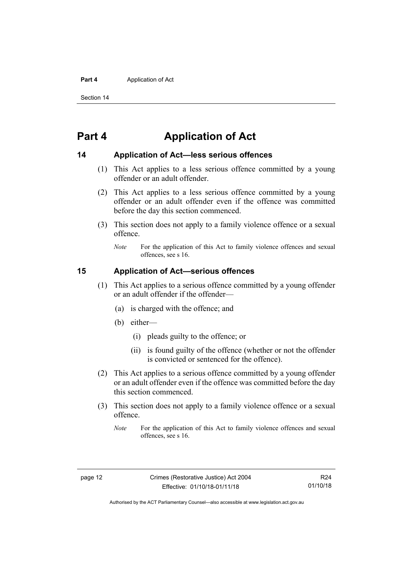#### **Part 4** Application of Act

Section 14

# <span id="page-19-0"></span>**Part 4 Application of Act**

## <span id="page-19-1"></span>**14 Application of Act—less serious offences**

- (1) This Act applies to a less serious offence committed by a young offender or an adult offender.
- (2) This Act applies to a less serious offence committed by a young offender or an adult offender even if the offence was committed before the day this section commenced.
- (3) This section does not apply to a family violence offence or a sexual offence.
	- *Note* For the application of this Act to family violence offences and sexual offences, see s 16.

## <span id="page-19-2"></span>**15 Application of Act—serious offences**

- (1) This Act applies to a serious offence committed by a young offender or an adult offender if the offender—
	- (a) is charged with the offence; and
	- (b) either—
		- (i) pleads guilty to the offence; or
		- (ii) is found guilty of the offence (whether or not the offender is convicted or sentenced for the offence).
- (2) This Act applies to a serious offence committed by a young offender or an adult offender even if the offence was committed before the day this section commenced.
- (3) This section does not apply to a family violence offence or a sexual offence.
	- *Note* For the application of this Act to family violence offences and sexual offences, see s 16.

Authorised by the ACT Parliamentary Counsel—also accessible at www.legislation.act.gov.au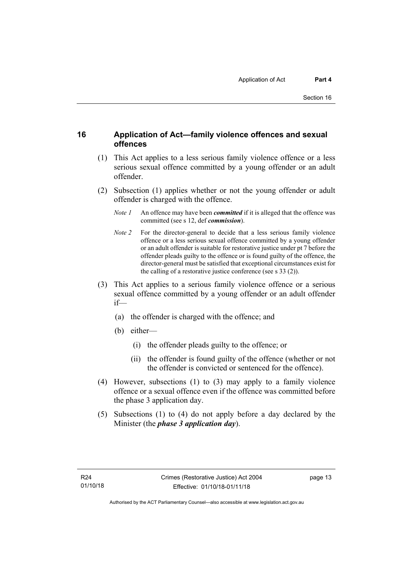# <span id="page-20-0"></span>**16 Application of Act—family violence offences and sexual offences**

- (1) This Act applies to a less serious family violence offence or a less serious sexual offence committed by a young offender or an adult offender.
- (2) Subsection (1) applies whether or not the young offender or adult offender is charged with the offence.
	- *Note 1* An offence may have been *committed* if it is alleged that the offence was committed (see s 12, def *commission*).
	- *Note 2* For the director-general to decide that a less serious family violence offence or a less serious sexual offence committed by a young offender or an adult offender is suitable for restorative justice under pt 7 before the offender pleads guilty to the offence or is found guilty of the offence, the director-general must be satisfied that exceptional circumstances exist for the calling of a restorative justice conference (see s 33 (2)).
- (3) This Act applies to a serious family violence offence or a serious sexual offence committed by a young offender or an adult offender if—
	- (a) the offender is charged with the offence; and
	- (b) either—
		- (i) the offender pleads guilty to the offence; or
		- (ii) the offender is found guilty of the offence (whether or not the offender is convicted or sentenced for the offence).
- (4) However, subsections (1) to (3) may apply to a family violence offence or a sexual offence even if the offence was committed before the phase 3 application day.
- (5) Subsections (1) to (4) do not apply before a day declared by the Minister (the *phase 3 application day*).

page 13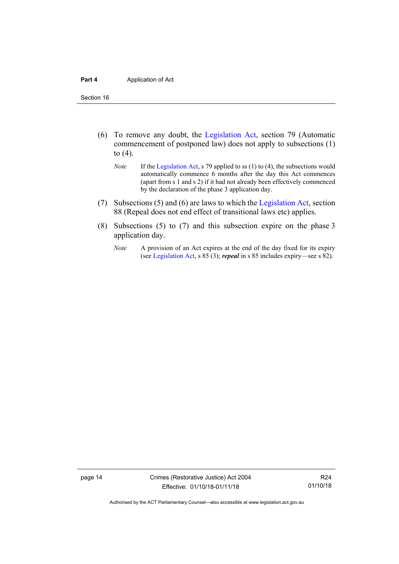#### **Part 4** Application of Act

Section 16

- (6) To remove any doubt, the [Legislation Act,](http://www.legislation.act.gov.au/a/2001-14) section 79 (Automatic commencement of postponed law) does not apply to subsections (1) to (4).
	- *Note* If th[e Legislation](http://www.legislation.act.gov.au/a/2001-14) Act, s 79 applied to ss (1) to (4), the subsections would automatically commence 6 months after the day this Act commences (apart from s 1 and s 2) if it had not already been effectively commenced by the declaration of the phase 3 application day.
- (7) Subsections (5) and (6) are laws to which th[e Legislation Act,](http://www.legislation.act.gov.au/a/2001-14) section 88 (Repeal does not end effect of transitional laws etc) applies.
- (8) Subsections (5) to (7) and this subsection expire on the phase 3 application day.
	- *Note* A provision of an Act expires at the end of the day fixed for its expiry (se[e Legislation Act,](http://www.legislation.act.gov.au/a/2001-14) s 85 (3); *repeal* in s 85 includes expiry—see s 82).

page 14 Crimes (Restorative Justice) Act 2004 Effective: 01/10/18-01/11/18

R24 01/10/18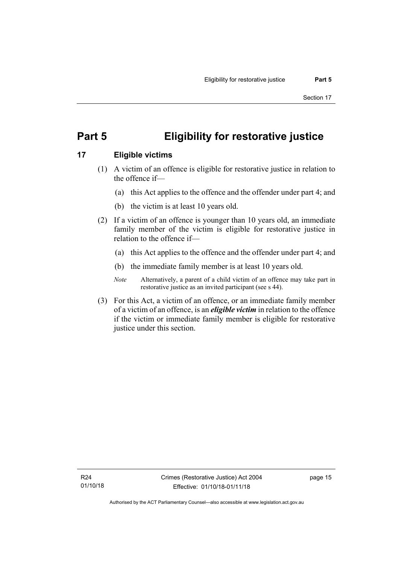# <span id="page-22-0"></span>**Part 5 Eligibility for restorative justice**

# <span id="page-22-1"></span>**17 Eligible victims**

- (1) A victim of an offence is eligible for restorative justice in relation to the offence if—
	- (a) this Act applies to the offence and the offender under part 4; and
	- (b) the victim is at least 10 years old.
- (2) If a victim of an offence is younger than 10 years old, an immediate family member of the victim is eligible for restorative justice in relation to the offence if—
	- (a) this Act applies to the offence and the offender under part 4; and
	- (b) the immediate family member is at least 10 years old.
	- *Note* Alternatively, a parent of a child victim of an offence may take part in restorative justice as an invited participant (see s 44).
- (3) For this Act, a victim of an offence, or an immediate family member of a victim of an offence, is an *eligible victim* in relation to the offence if the victim or immediate family member is eligible for restorative justice under this section.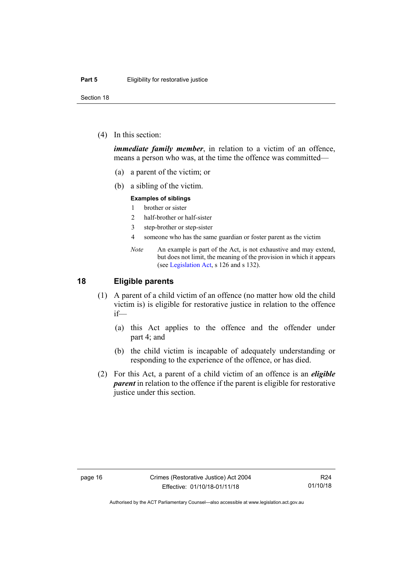Section 18

(4) In this section:

*immediate family member*, in relation to a victim of an offence, means a person who was, at the time the offence was committed—

- (a) a parent of the victim; or
- (b) a sibling of the victim.

#### **Examples of siblings**

- 1 brother or sister
- 2 half-brother or half-sister
- 3 step-brother or step-sister
- 4 someone who has the same guardian or foster parent as the victim
- *Note* An example is part of the Act, is not exhaustive and may extend, but does not limit, the meaning of the provision in which it appears (se[e Legislation Act,](http://www.legislation.act.gov.au/a/2001-14) s 126 and s 132).

## <span id="page-23-0"></span>**18 Eligible parents**

- (1) A parent of a child victim of an offence (no matter how old the child victim is) is eligible for restorative justice in relation to the offence if—
	- (a) this Act applies to the offence and the offender under part 4; and
	- (b) the child victim is incapable of adequately understanding or responding to the experience of the offence, or has died.
- (2) For this Act, a parent of a child victim of an offence is an *eligible parent* in relation to the offence if the parent is eligible for restorative justice under this section.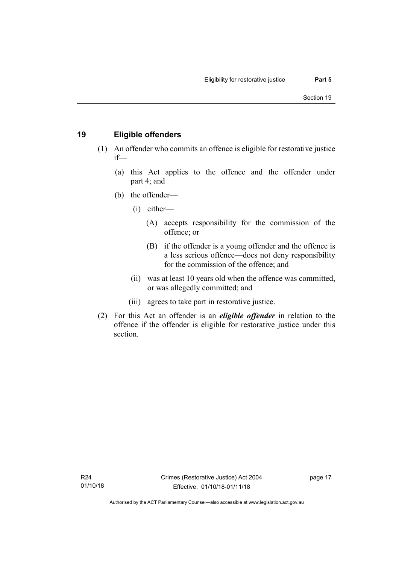# <span id="page-24-0"></span>**19 Eligible offenders**

- (1) An offender who commits an offence is eligible for restorative justice if—
	- (a) this Act applies to the offence and the offender under part 4; and
	- (b) the offender—
		- (i) either—
			- (A) accepts responsibility for the commission of the offence; or
			- (B) if the offender is a young offender and the offence is a less serious offence—does not deny responsibility for the commission of the offence; and
		- (ii) was at least 10 years old when the offence was committed, or was allegedly committed; and
		- (iii) agrees to take part in restorative justice.
- (2) For this Act an offender is an *eligible offender* in relation to the offence if the offender is eligible for restorative justice under this section.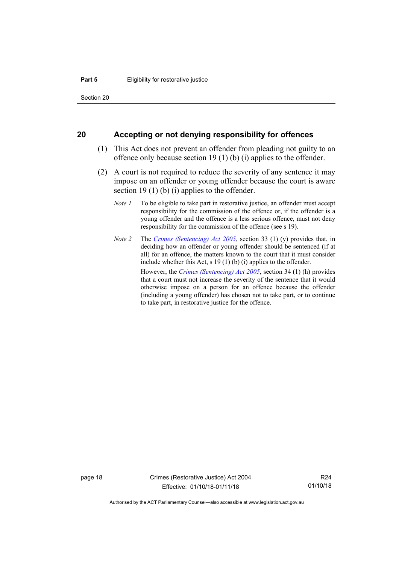Section 20

#### <span id="page-25-0"></span>**20 Accepting or not denying responsibility for offences**

- (1) This Act does not prevent an offender from pleading not guilty to an offence only because section 19 (1) (b) (i) applies to the offender.
- (2) A court is not required to reduce the severity of any sentence it may impose on an offender or young offender because the court is aware section 19 (1) (b) (i) applies to the offender.
	- *Note 1* To be eligible to take part in restorative justice, an offender must accept responsibility for the commission of the offence or, if the offender is a young offender and the offence is a less serious offence, must not deny responsibility for the commission of the offence (see s 19).
	- *Note 2* The *[Crimes \(Sentencing\) Act 2005](http://www.legislation.act.gov.au/a/2005-58)*, section 33 (1) (y) provides that, in deciding how an offender or young offender should be sentenced (if at all) for an offence, the matters known to the court that it must consider include whether this Act, s 19 (1) (b) (i) applies to the offender.

However, the *[Crimes \(Sentencing\) Act 2005](http://www.legislation.act.gov.au/a/2005-58)*, section 34 (1) (h) provides that a court must not increase the severity of the sentence that it would otherwise impose on a person for an offence because the offender (including a young offender) has chosen not to take part, or to continue to take part, in restorative justice for the offence.

page 18 Crimes (Restorative Justice) Act 2004 Effective: 01/10/18-01/11/18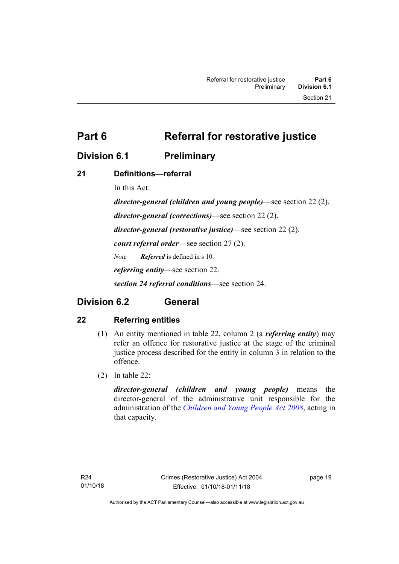<span id="page-26-0"></span>**Part 6 Referral for restorative justice**

# <span id="page-26-1"></span>**Division 6.1 Preliminary**

# <span id="page-26-2"></span>**21 Definitions—referral**

In this Act:

*director-general (children and young people)*—see section 22 (2). *director-general (corrections)*—see section 22 (2). *director-general (restorative justice)*—see section 22 (2). *court referral order*—see section 27 (2). *Note Referred* is defined in s 10. *referring entity*—see section 22. *section 24 referral conditions*—see section 24.

# <span id="page-26-3"></span>**Division 6.2 General**

# <span id="page-26-4"></span>**22 Referring entities**

- (1) An entity mentioned in table 22, column 2 (a *referring entity*) may refer an offence for restorative justice at the stage of the criminal justice process described for the entity in column 3 in relation to the offence.
- (2) In table 22:

*director-general (children and young people)* means the director-general of the administrative unit responsible for the administration of the *[Children and Young People Act 2008](http://www.legislation.act.gov.au/a/2008-19)*, acting in that capacity.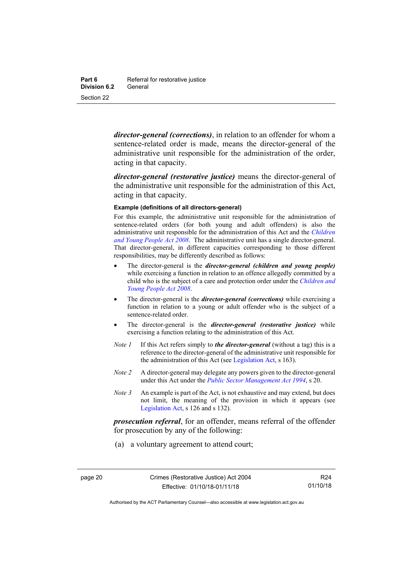*director-general (corrections)*, in relation to an offender for whom a sentence-related order is made, means the director-general of the administrative unit responsible for the administration of the order, acting in that capacity.

*director-general (restorative justice)* means the director-general of the administrative unit responsible for the administration of this Act, acting in that capacity.

#### **Example (definitions of all directors-general)**

For this example, the administrative unit responsible for the administration of sentence-related orders (for both young and adult offenders) is also the administrative unit responsible for the administration of this Act and the *[Children](http://www.legislation.act.gov.au/a/2008-19)  [and Young People Act 2008](http://www.legislation.act.gov.au/a/2008-19)*. The administrative unit has a single director-general. That director-general, in different capacities corresponding to those different responsibilities, may be differently described as follows:

- The director-general is the *director-general (children and young people)*  while exercising a function in relation to an offence allegedly committed by a child who is the subject of a care and protection order under the *[Children and](http://www.legislation.act.gov.au/a/2008-19)  [Young People Act 2008](http://www.legislation.act.gov.au/a/2008-19)*.
- The director-general is the *director-general (corrections)* while exercising a function in relation to a young or adult offender who is the subject of a sentence-related order.
- The director-general is the *director-general (restorative justice)* while exercising a function relating to the administration of this Act.
- *Note 1* If this Act refers simply to *the director-general* (without a tag) this is a reference to the director-general of the administrative unit responsible for the administration of this Act (see [Legislation Act,](http://www.legislation.act.gov.au/a/2001-14) s 163).
- *Note 2* A director-general may delegate any powers given to the director-general under this Act under the *[Public Sector Management Act](http://www.legislation.act.gov.au/a/1994-37) 1994*, s 20.
- *Note 3* An example is part of the Act, is not exhaustive and may extend, but does not limit, the meaning of the provision in which it appears (see [Legislation Act,](http://www.legislation.act.gov.au/a/2001-14) s 126 and s 132).

*prosecution referral*, for an offender, means referral of the offender for prosecution by any of the following:

(a) a voluntary agreement to attend court;

Authorised by the ACT Parliamentary Counsel—also accessible at www.legislation.act.gov.au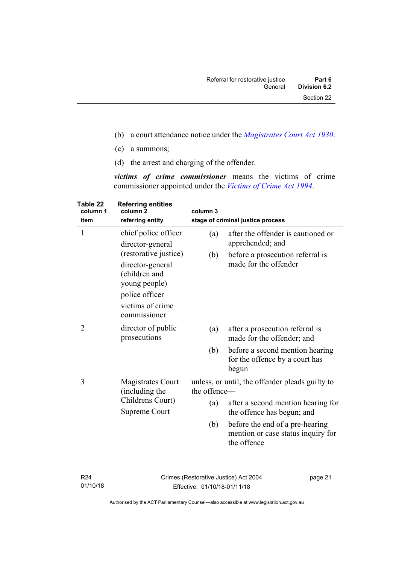- (b) a court attendance notice under the *[Magistrates Court Act](http://www.legislation.act.gov.au/a/1930-21) 1930*.
- (c) a summons;
- (d) the arrest and charging of the offender.

*victims of crime commissioner* means the victims of crime commissioner appointed under the *[Victims of Crime Act 1994](http://www.legislation.act.gov.au/a/1994-83)*.

| Table 22<br>column 1<br>item | <b>Referring entities</b><br>column <sub>2</sub><br>referring entity                                                              | column 3                                                        | stage of criminal justice process                                                    |
|------------------------------|-----------------------------------------------------------------------------------------------------------------------------------|-----------------------------------------------------------------|--------------------------------------------------------------------------------------|
| 1                            | chief police officer<br>director-general                                                                                          | (a)                                                             | after the offender is cautioned or<br>apprehended; and                               |
|                              | (restorative justice)<br>director-general<br>(children and<br>young people)<br>police officer<br>victims of crime<br>commissioner | (b)                                                             | before a prosecution referral is<br>made for the offender                            |
| 2                            | director of public<br>prosecutions                                                                                                | (a)                                                             | after a prosecution referral is<br>made for the offender; and                        |
|                              |                                                                                                                                   | (b)                                                             | before a second mention hearing<br>for the offence by a court has<br>begun           |
| 3                            | <b>Magistrates Court</b><br>(including the<br>Childrens Court)<br>Supreme Court                                                   | unless, or until, the offender pleads guilty to<br>the offence- |                                                                                      |
|                              |                                                                                                                                   | (a)                                                             | after a second mention hearing for<br>the offence has begun; and                     |
|                              |                                                                                                                                   | (b)                                                             | before the end of a pre-hearing<br>mention or case status inquiry for<br>the offence |
|                              |                                                                                                                                   |                                                                 |                                                                                      |

R24 01/10/18 Crimes (Restorative Justice) Act 2004 Effective: 01/10/18-01/11/18

page 21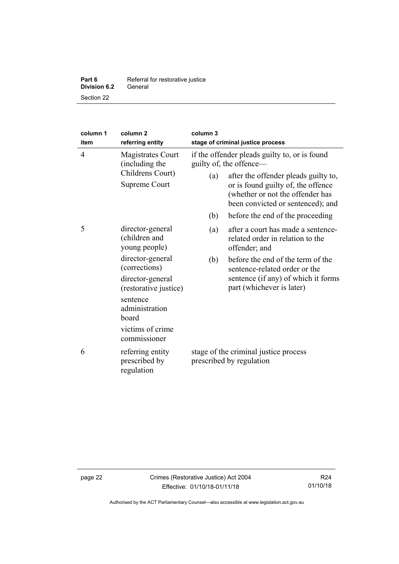| Part 6              | Referral for restorative justice |
|---------------------|----------------------------------|
| <b>Division 6.2</b> | General                          |
| Section 22          |                                  |

| column 1<br>item | column <sub>2</sub><br>referring entity                                                                                                                                                                         | column 3<br>stage of criminal justice process                     |                                                                                                                                                                                                                                          |
|------------------|-----------------------------------------------------------------------------------------------------------------------------------------------------------------------------------------------------------------|-------------------------------------------------------------------|------------------------------------------------------------------------------------------------------------------------------------------------------------------------------------------------------------------------------------------|
| 4                | <b>Magistrates Court</b><br>(including the<br>Childrens Court)<br>Supreme Court                                                                                                                                 | guilty of, the offence—<br>(a)<br>(b)                             | if the offender pleads guilty to, or is found<br>after the offender pleads guilty to,<br>or is found guilty of, the offence<br>(whether or not the offender has<br>been convicted or sentenced); and<br>before the end of the proceeding |
| 5                | director-general<br>(children and<br>young people)<br>director-general<br>(corrections)<br>director-general<br>(restorative justice)<br>sentence<br>administration<br>board<br>victims of crime<br>commissioner | (a)<br>(b)                                                        | after a court has made a sentence-<br>related order in relation to the<br>offender; and<br>before the end of the term of the<br>sentence-related order or the<br>sentence (if any) of which it forms<br>part (whichever is later)        |
| 6                | referring entity<br>prescribed by<br>regulation                                                                                                                                                                 | stage of the criminal justice process<br>prescribed by regulation |                                                                                                                                                                                                                                          |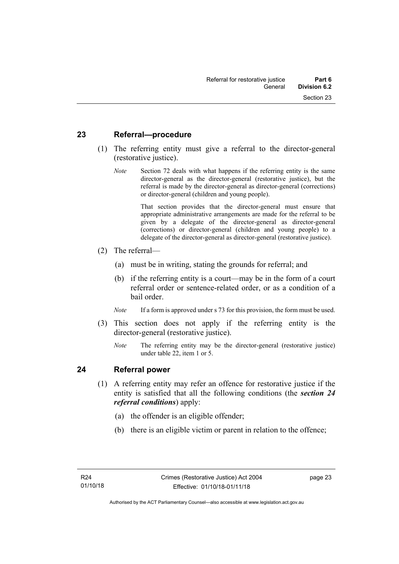# <span id="page-30-0"></span>**23 Referral—procedure**

- (1) The referring entity must give a referral to the director-general (restorative justice).
	- *Note* Section 72 deals with what happens if the referring entity is the same director-general as the director-general (restorative justice), but the referral is made by the director-general as director-general (corrections) or director-general (children and young people).

That section provides that the director-general must ensure that appropriate administrative arrangements are made for the referral to be given by a delegate of the director-general as director-general (corrections) or director-general (children and young people) to a delegate of the director-general as director-general (restorative justice).

- (2) The referral—
	- (a) must be in writing, stating the grounds for referral; and
	- (b) if the referring entity is a court—may be in the form of a court referral order or sentence-related order, or as a condition of a bail order.
	- *Note* If a form is approved under s 73 for this provision, the form must be used.
- (3) This section does not apply if the referring entity is the director-general (restorative justice).
	- *Note* The referring entity may be the director-general (restorative justice) under table 22, item 1 or 5.

# <span id="page-30-1"></span>**24 Referral power**

- (1) A referring entity may refer an offence for restorative justice if the entity is satisfied that all the following conditions (the *section 24 referral conditions*) apply:
	- (a) the offender is an eligible offender;
	- (b) there is an eligible victim or parent in relation to the offence;

page 23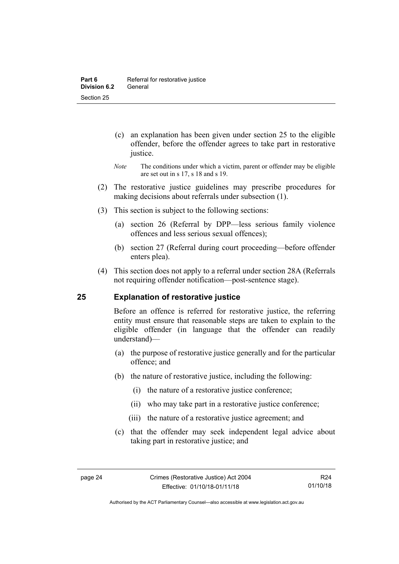- (c) an explanation has been given under section 25 to the eligible offender, before the offender agrees to take part in restorative justice.
- *Note* The conditions under which a victim, parent or offender may be eligible are set out in s 17, s 18 and s 19.
- (2) The restorative justice guidelines may prescribe procedures for making decisions about referrals under subsection (1).
- (3) This section is subject to the following sections:
	- (a) section 26 (Referral by DPP—less serious family violence offences and less serious sexual offences);
	- (b) section 27 (Referral during court proceeding—before offender enters plea).
- (4) This section does not apply to a referral under section 28A (Referrals not requiring offender notification—post-sentence stage).

## <span id="page-31-0"></span>**25 Explanation of restorative justice**

Before an offence is referred for restorative justice, the referring entity must ensure that reasonable steps are taken to explain to the eligible offender (in language that the offender can readily understand)––

- (a) the purpose of restorative justice generally and for the particular offence; and
- (b) the nature of restorative justice, including the following:
	- (i) the nature of a restorative justice conference;
	- (ii) who may take part in a restorative justice conference;
	- (iii) the nature of a restorative justice agreement; and
- (c) that the offender may seek independent legal advice about taking part in restorative justice; and

R24 01/10/18

Authorised by the ACT Parliamentary Counsel—also accessible at www.legislation.act.gov.au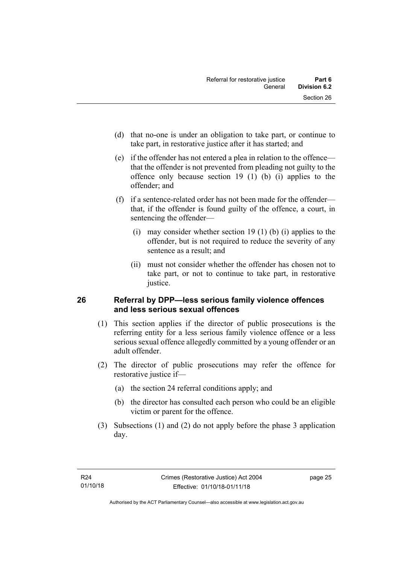- (d) that no-one is under an obligation to take part, or continue to take part, in restorative justice after it has started; and
- (e) if the offender has not entered a plea in relation to the offence that the offender is not prevented from pleading not guilty to the offence only because section 19 (1) (b) (i) applies to the offender; and
- (f) if a sentence-related order has not been made for the offender that, if the offender is found guilty of the offence, a court, in sentencing the offender—
	- (i) may consider whether section 19 (1) (b) (i) applies to the offender, but is not required to reduce the severity of any sentence as a result; and
	- (ii) must not consider whether the offender has chosen not to take part, or not to continue to take part, in restorative justice.

# <span id="page-32-0"></span>**26 Referral by DPP—less serious family violence offences and less serious sexual offences**

- (1) This section applies if the director of public prosecutions is the referring entity for a less serious family violence offence or a less serious sexual offence allegedly committed by a young offender or an adult offender.
- (2) The director of public prosecutions may refer the offence for restorative justice if-
	- (a) the section 24 referral conditions apply; and
	- (b) the director has consulted each person who could be an eligible victim or parent for the offence.
- (3) Subsections (1) and (2) do not apply before the phase 3 application day.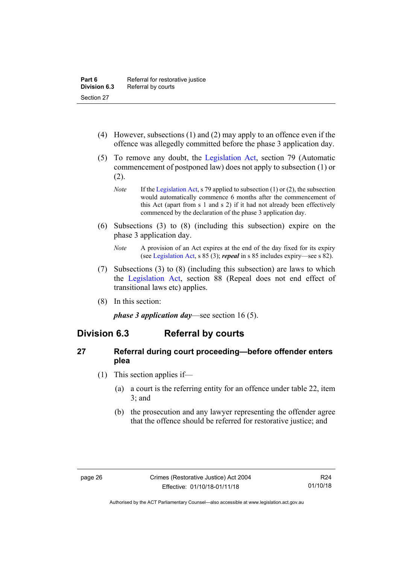- (4) However, subsections (1) and (2) may apply to an offence even if the offence was allegedly committed before the phase 3 application day.
- (5) To remove any doubt, the [Legislation Act,](http://www.legislation.act.gov.au/a/2001-14) section 79 (Automatic commencement of postponed law) does not apply to subsection (1) or (2).
	- *Note* If th[e Legislation Act,](http://www.legislation.act.gov.au/a/2001-14) s 79 applied to subsection (1) or (2), the subsection would automatically commence 6 months after the commencement of this Act (apart from s 1 and s 2) if it had not already been effectively commenced by the declaration of the phase 3 application day.
- (6) Subsections (3) to (8) (including this subsection) expire on the phase 3 application day.
	- *Note* A provision of an Act expires at the end of the day fixed for its expiry (se[e Legislation Act,](http://www.legislation.act.gov.au/a/2001-14) s 85 (3); *repeal* in s 85 includes expiry—see s 82).
- (7) Subsections (3) to (8) (including this subsection) are laws to which the [Legislation Act,](http://www.legislation.act.gov.au/a/2001-14) section 88 (Repeal does not end effect of transitional laws etc) applies.
- (8) In this section:

*phase 3 application day*—see section 16 (5).

# <span id="page-33-0"></span>**Division 6.3 Referral by courts**

# <span id="page-33-1"></span>**27 Referral during court proceeding—before offender enters plea**

- (1) This section applies if—
	- (a) a court is the referring entity for an offence under table 22, item 3; and
	- (b) the prosecution and any lawyer representing the offender agree that the offence should be referred for restorative justice; and

Authorised by the ACT Parliamentary Counsel—also accessible at www.legislation.act.gov.au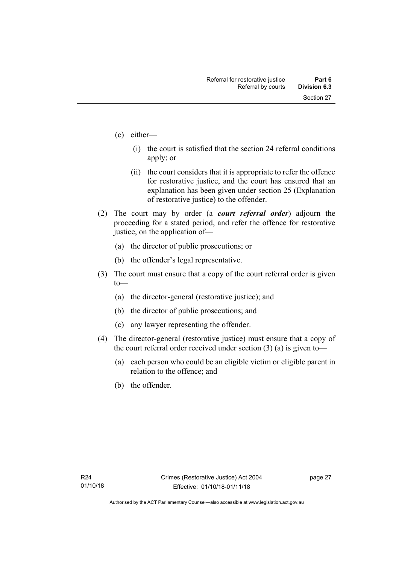- (c) either—
	- (i) the court is satisfied that the section 24 referral conditions apply; or
	- (ii) the court considers that it is appropriate to refer the offence for restorative justice, and the court has ensured that an explanation has been given under section 25 (Explanation of restorative justice) to the offender.
- (2) The court may by order (a *court referral order*) adjourn the proceeding for a stated period, and refer the offence for restorative justice, on the application of—
	- (a) the director of public prosecutions; or
	- (b) the offender's legal representative.
- (3) The court must ensure that a copy of the court referral order is given to—
	- (a) the director-general (restorative justice); and
	- (b) the director of public prosecutions; and
	- (c) any lawyer representing the offender.
- (4) The director-general (restorative justice) must ensure that a copy of the court referral order received under section  $(3)$  (a) is given to-
	- (a) each person who could be an eligible victim or eligible parent in relation to the offence; and
	- (b) the offender.

page 27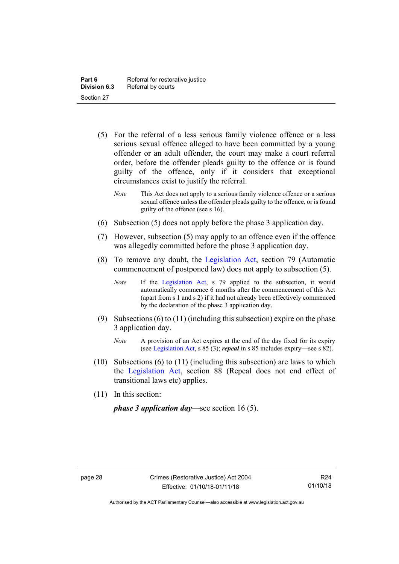- (5) For the referral of a less serious family violence offence or a less serious sexual offence alleged to have been committed by a young offender or an adult offender, the court may make a court referral order, before the offender pleads guilty to the offence or is found guilty of the offence, only if it considers that exceptional circumstances exist to justify the referral.
	- *Note* This Act does not apply to a serious family violence offence or a serious sexual offence unless the offender pleads guilty to the offence, or is found guilty of the offence (see s 16).
- (6) Subsection (5) does not apply before the phase 3 application day.
- (7) However, subsection (5) may apply to an offence even if the offence was allegedly committed before the phase 3 application day.
- (8) To remove any doubt, the [Legislation Act,](http://www.legislation.act.gov.au/a/2001-14) section 79 (Automatic commencement of postponed law) does not apply to subsection (5).
	- *Note* If the [Legislation Act,](http://www.legislation.act.gov.au/a/2001-14) s 79 applied to the subsection, it would automatically commence 6 months after the commencement of this Act (apart from s 1 and s 2) if it had not already been effectively commenced by the declaration of the phase 3 application day.
- (9) Subsections (6) to (11) (including this subsection) expire on the phase 3 application day.
	- *Note* A provision of an Act expires at the end of the day fixed for its expiry (se[e Legislation Act,](http://www.legislation.act.gov.au/a/2001-14) s 85 (3); *repeal* in s 85 includes expiry—see s 82).
- (10) Subsections (6) to (11) (including this subsection) are laws to which the [Legislation Act,](http://www.legislation.act.gov.au/a/2001-14) section 88 (Repeal does not end effect of transitional laws etc) applies.
- (11) In this section:

*phase 3 application day*—see section 16 (5).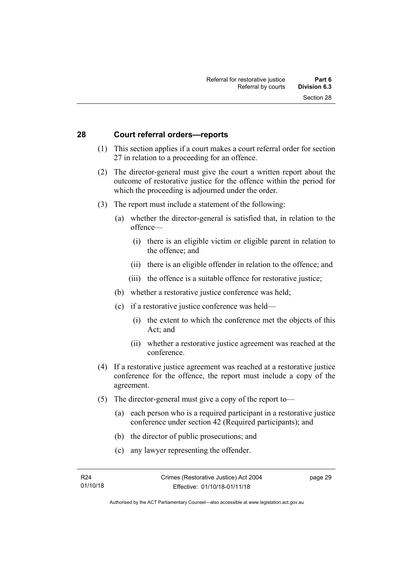### **28 Court referral orders—reports**

- (1) This section applies if a court makes a court referral order for section 27 in relation to a proceeding for an offence.
- (2) The director-general must give the court a written report about the outcome of restorative justice for the offence within the period for which the proceeding is adjourned under the order.
- (3) The report must include a statement of the following:
	- (a) whether the director-general is satisfied that, in relation to the offence—
		- (i) there is an eligible victim or eligible parent in relation to the offence; and
		- (ii) there is an eligible offender in relation to the offence; and
		- (iii) the offence is a suitable offence for restorative justice;
	- (b) whether a restorative justice conference was held;
	- (c) if a restorative justice conference was held—
		- (i) the extent to which the conference met the objects of this Act; and
		- (ii) whether a restorative justice agreement was reached at the conference.
- (4) If a restorative justice agreement was reached at a restorative justice conference for the offence, the report must include a copy of the agreement.
- (5) The director-general must give a copy of the report to—
	- (a) each person who is a required participant in a restorative justice conference under section 42 (Required participants); and
	- (b) the director of public prosecutions; and
	- (c) any lawyer representing the offender.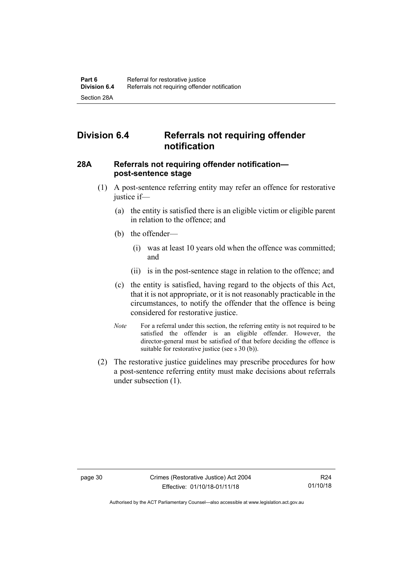# **Division 6.4 Referrals not requiring offender notification**

### **28A Referrals not requiring offender notification post-sentence stage**

- (1) A post-sentence referring entity may refer an offence for restorative justice if—
	- (a) the entity is satisfied there is an eligible victim or eligible parent in relation to the offence; and
	- (b) the offender—
		- (i) was at least 10 years old when the offence was committed; and
		- (ii) is in the post-sentence stage in relation to the offence; and
	- (c) the entity is satisfied, having regard to the objects of this Act, that it is not appropriate, or it is not reasonably practicable in the circumstances, to notify the offender that the offence is being considered for restorative justice.
	- *Note* For a referral under this section, the referring entity is not required to be satisfied the offender is an eligible offender. However, the director-general must be satisfied of that before deciding the offence is suitable for restorative justice (see s 30 (b)).
- (2) The restorative justice guidelines may prescribe procedures for how a post-sentence referring entity must make decisions about referrals under subsection (1).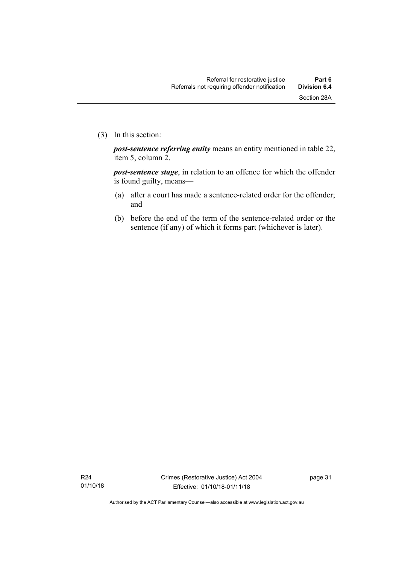*post-sentence referring entity* means an entity mentioned in table 22, item 5, column 2.

*post-sentence stage*, in relation to an offence for which the offender is found guilty, means—

- (a) after a court has made a sentence-related order for the offender; and
- (b) before the end of the term of the sentence-related order or the sentence (if any) of which it forms part (whichever is later).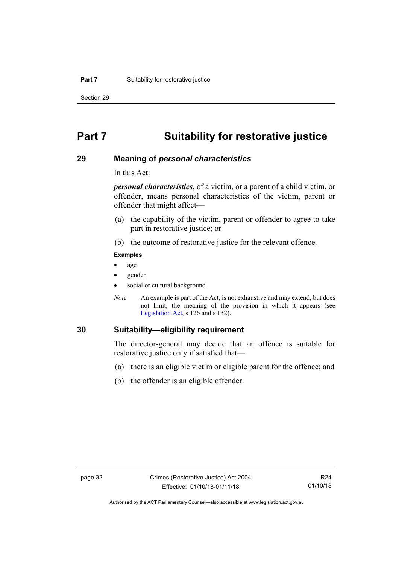Section 29

# **Part 7 Suitability for restorative justice**

### **29 Meaning of** *personal characteristics*

In this Act:

*personal characteristics*, of a victim, or a parent of a child victim, or offender, means personal characteristics of the victim, parent or offender that might affect—

- (a) the capability of the victim, parent or offender to agree to take part in restorative justice; or
- (b) the outcome of restorative justice for the relevant offence.

#### **Examples**

- age
- gender
- social or cultural background
- *Note* An example is part of the Act, is not exhaustive and may extend, but does not limit, the meaning of the provision in which it appears (see [Legislation Act,](http://www.legislation.act.gov.au/a/2001-14) s 126 and s 132).

### **30 Suitability—eligibility requirement**

The director-general may decide that an offence is suitable for restorative justice only if satisfied that—

- (a) there is an eligible victim or eligible parent for the offence; and
- (b) the offender is an eligible offender.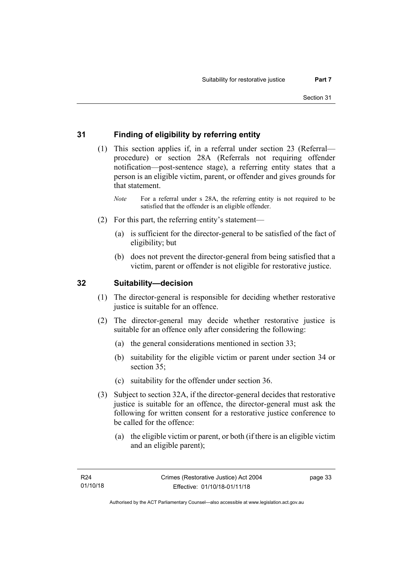# **31 Finding of eligibility by referring entity**

- (1) This section applies if, in a referral under section 23 (Referral procedure) or section 28A (Referrals not requiring offender notification—post-sentence stage), a referring entity states that a person is an eligible victim, parent, or offender and gives grounds for that statement.
	- *Note* For a referral under s 28A, the referring entity is not required to be satisfied that the offender is an eligible offender.
- (2) For this part, the referring entity's statement—
	- (a) is sufficient for the director-general to be satisfied of the fact of eligibility; but
	- (b) does not prevent the director-general from being satisfied that a victim, parent or offender is not eligible for restorative justice.

## **32 Suitability—decision**

- (1) The director-general is responsible for deciding whether restorative justice is suitable for an offence.
- (2) The director-general may decide whether restorative justice is suitable for an offence only after considering the following:
	- (a) the general considerations mentioned in section 33;
	- (b) suitability for the eligible victim or parent under section 34 or section 35:
	- (c) suitability for the offender under section 36.
- (3) Subject to section 32A, if the director-general decides that restorative justice is suitable for an offence, the director-general must ask the following for written consent for a restorative justice conference to be called for the offence:
	- (a) the eligible victim or parent, or both (if there is an eligible victim and an eligible parent);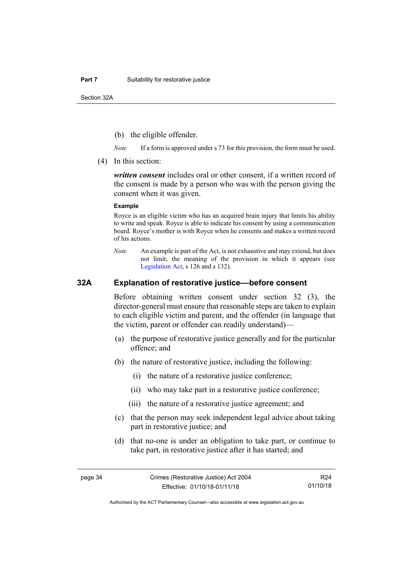Section 32A

- (b) the eligible offender.
- *Note* If a form is approved under s 73 for this provision, the form must be used.
- (4) In this section:

*written consent* includes oral or other consent, if a written record of the consent is made by a person who was with the person giving the consent when it was given.

#### **Example**

Royce is an eligible victim who has an acquired brain injury that limits his ability to write and speak. Royce is able to indicate his consent by using a communication board. Royce's mother is with Royce when he consents and makes a written record of his actions.

*Note* An example is part of the Act, is not exhaustive and may extend, but does not limit, the meaning of the provision in which it appears (see [Legislation Act,](http://www.legislation.act.gov.au/a/2001-14) s 126 and s 132).

### **32A Explanation of restorative justice––before consent**

Before obtaining written consent under section 32 (3), the director-general must ensure that reasonable steps are taken to explain to each eligible victim and parent, and the offender (in language that the victim, parent or offender can readily understand)—

- (a) the purpose of restorative justice generally and for the particular offence; and
- (b) the nature of restorative justice, including the following:
	- (i) the nature of a restorative justice conference;
	- (ii) who may take part in a restorative justice conference;
	- (iii) the nature of a restorative justice agreement; and
- (c) that the person may seek independent legal advice about taking part in restorative justice; and
- (d) that no-one is under an obligation to take part, or continue to take part, in restorative justice after it has started; and

R24 01/10/18

Authorised by the ACT Parliamentary Counsel—also accessible at www.legislation.act.gov.au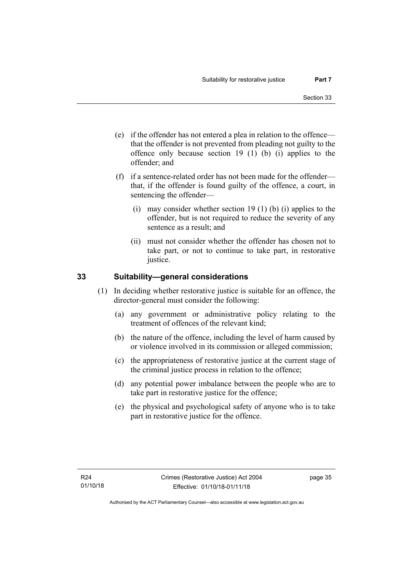- (e) if the offender has not entered a plea in relation to the offence that the offender is not prevented from pleading not guilty to the offence only because section 19 (1) (b) (i) applies to the offender; and
- (f) if a sentence-related order has not been made for the offender that, if the offender is found guilty of the offence, a court, in sentencing the offender—
	- (i) may consider whether section 19 (1) (b) (i) applies to the offender, but is not required to reduce the severity of any sentence as a result; and
	- (ii) must not consider whether the offender has chosen not to take part, or not to continue to take part, in restorative justice.

# **33 Suitability—general considerations**

- (1) In deciding whether restorative justice is suitable for an offence, the director-general must consider the following:
	- (a) any government or administrative policy relating to the treatment of offences of the relevant kind;
	- (b) the nature of the offence, including the level of harm caused by or violence involved in its commission or alleged commission;
	- (c) the appropriateness of restorative justice at the current stage of the criminal justice process in relation to the offence;
	- (d) any potential power imbalance between the people who are to take part in restorative justice for the offence;
	- (e) the physical and psychological safety of anyone who is to take part in restorative justice for the offence.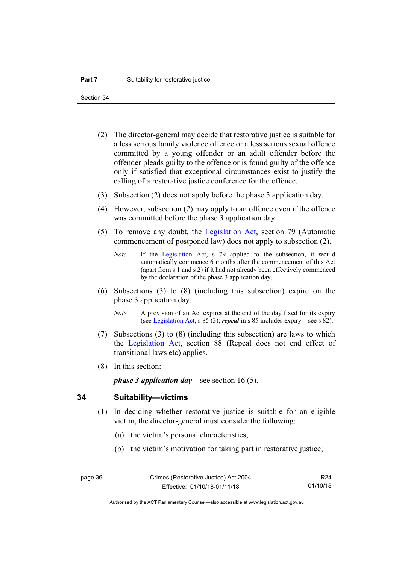Section 34

- (2) The director-general may decide that restorative justice is suitable for a less serious family violence offence or a less serious sexual offence committed by a young offender or an adult offender before the offender pleads guilty to the offence or is found guilty of the offence only if satisfied that exceptional circumstances exist to justify the calling of a restorative justice conference for the offence.
- (3) Subsection (2) does not apply before the phase 3 application day.
- (4) However, subsection (2) may apply to an offence even if the offence was committed before the phase 3 application day.
- (5) To remove any doubt, the [Legislation Act,](http://www.legislation.act.gov.au/a/2001-14) section 79 (Automatic commencement of postponed law) does not apply to subsection (2).
	- *Note* If the [Legislation Act,](http://www.legislation.act.gov.au/a/2001-14) s 79 applied to the subsection, it would automatically commence 6 months after the commencement of this Act (apart from s 1 and s 2) if it had not already been effectively commenced by the declaration of the phase 3 application day.
- (6) Subsections (3) to (8) (including this subsection) expire on the phase 3 application day.
	- *Note* A provision of an Act expires at the end of the day fixed for its expiry (se[e Legislation Act,](http://www.legislation.act.gov.au/a/2001-14) s 85 (3); *repeal* in s 85 includes expiry—see s 82).
- (7) Subsections (3) to (8) (including this subsection) are laws to which the [Legislation Act,](http://www.legislation.act.gov.au/a/2001-14) section 88 (Repeal does not end effect of transitional laws etc) applies.
- (8) In this section:

*phase 3 application day*—see section 16 (5).

### **34 Suitability—victims**

- (1) In deciding whether restorative justice is suitable for an eligible victim, the director-general must consider the following:
	- (a) the victim's personal characteristics;
	- (b) the victim's motivation for taking part in restorative justice;

R24 01/10/18

Authorised by the ACT Parliamentary Counsel—also accessible at www.legislation.act.gov.au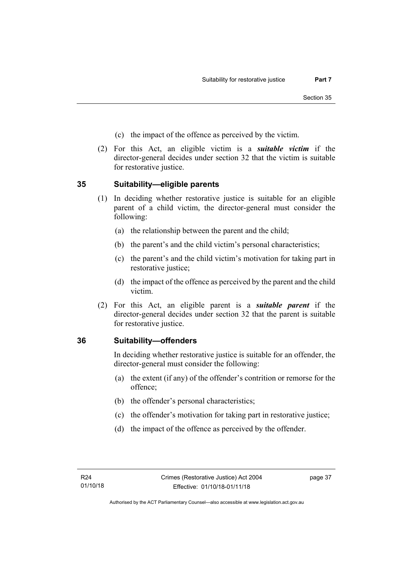- (c) the impact of the offence as perceived by the victim.
- (2) For this Act, an eligible victim is a *suitable victim* if the director-general decides under section 32 that the victim is suitable for restorative justice.

# **35 Suitability—eligible parents**

- (1) In deciding whether restorative justice is suitable for an eligible parent of a child victim, the director-general must consider the following:
	- (a) the relationship between the parent and the child;
	- (b) the parent's and the child victim's personal characteristics;
	- (c) the parent's and the child victim's motivation for taking part in restorative justice;
	- (d) the impact of the offence as perceived by the parent and the child victim.
- (2) For this Act, an eligible parent is a *suitable parent* if the director-general decides under section 32 that the parent is suitable for restorative justice.

# **36 Suitability—offenders**

In deciding whether restorative justice is suitable for an offender, the director-general must consider the following:

- (a) the extent (if any) of the offender's contrition or remorse for the offence;
- (b) the offender's personal characteristics;
- (c) the offender's motivation for taking part in restorative justice;
- (d) the impact of the offence as perceived by the offender.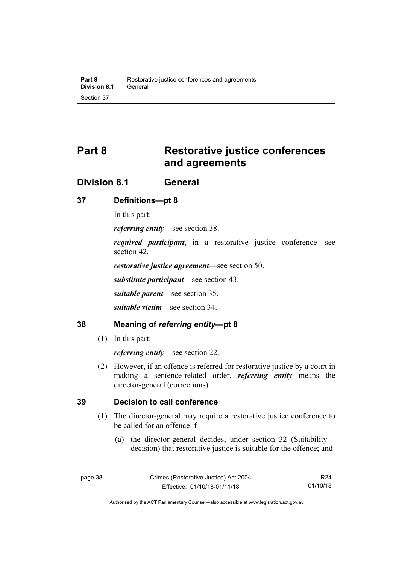# **Part 8 Restorative justice conferences and agreements**

# **Division 8.1 General**

## **37 Definitions—pt 8**

In this part:

*referring entity*—see section 38.

*required participant*, in a restorative justice conference—see section 42.

*restorative justice agreement*—see section 50.

*substitute participant*—see section 43.

*suitable parent*—see section 35.

*suitable victim*—see section 34.

### **38 Meaning of** *referring entity***—pt 8**

(1) In this part:

*referring entity*—see section 22.

(2) However, if an offence is referred for restorative justice by a court in making a sentence-related order, *referring entity* means the director-general (corrections).

# **39 Decision to call conference**

- (1) The director-general may require a restorative justice conference to be called for an offence if—
	- (a) the director-general decides, under section 32 (Suitability decision) that restorative justice is suitable for the offence; and

R24 01/10/18

Authorised by the ACT Parliamentary Counsel—also accessible at www.legislation.act.gov.au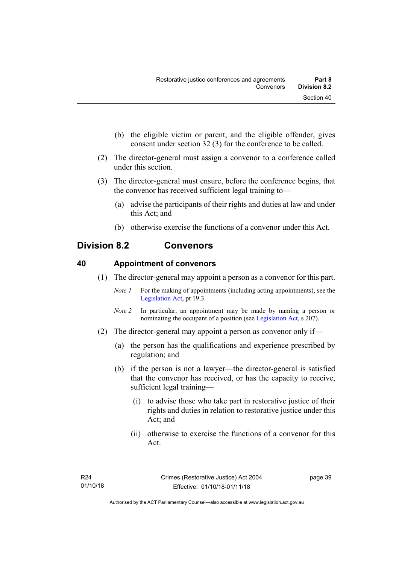- (b) the eligible victim or parent, and the eligible offender, gives consent under section 32 (3) for the conference to be called.
- (2) The director-general must assign a convenor to a conference called under this section.
- (3) The director-general must ensure, before the conference begins, that the convenor has received sufficient legal training to—
	- (a) advise the participants of their rights and duties at law and under this Act; and
	- (b) otherwise exercise the functions of a convenor under this Act.

# **Division 8.2 Convenors**

## **40 Appointment of convenors**

- (1) The director-general may appoint a person as a convenor for this part.
	- *Note 1* For the making of appointments (including acting appointments), see the [Legislation Act,](http://www.legislation.act.gov.au/a/2001-14) pt 19.3.
	- *Note 2* In particular, an appointment may be made by naming a person or nominating the occupant of a position (see [Legislation Act,](http://www.legislation.act.gov.au/a/2001-14) s 207).
- (2) The director-general may appoint a person as convenor only if—
	- (a) the person has the qualifications and experience prescribed by regulation; and
	- (b) if the person is not a lawyer—the director-general is satisfied that the convenor has received, or has the capacity to receive, sufficient legal training—
		- (i) to advise those who take part in restorative justice of their rights and duties in relation to restorative justice under this Act; and
		- (ii) otherwise to exercise the functions of a convenor for this Act.

page 39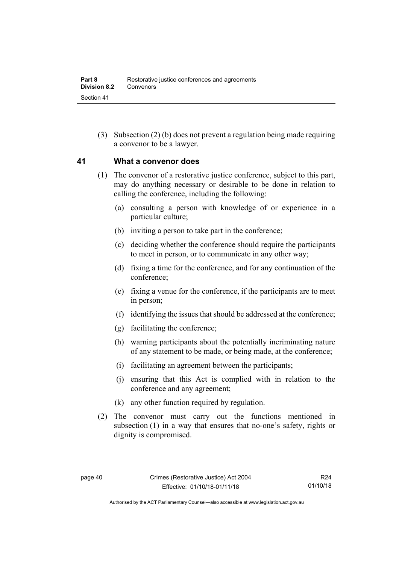(3) Subsection (2) (b) does not prevent a regulation being made requiring a convenor to be a lawyer.

### **41 What a convenor does**

- (1) The convenor of a restorative justice conference, subject to this part, may do anything necessary or desirable to be done in relation to calling the conference, including the following:
	- (a) consulting a person with knowledge of or experience in a particular culture;
	- (b) inviting a person to take part in the conference;
	- (c) deciding whether the conference should require the participants to meet in person, or to communicate in any other way;
	- (d) fixing a time for the conference, and for any continuation of the conference;
	- (e) fixing a venue for the conference, if the participants are to meet in person;
	- (f) identifying the issues that should be addressed at the conference;
	- (g) facilitating the conference;
	- (h) warning participants about the potentially incriminating nature of any statement to be made, or being made, at the conference;
	- (i) facilitating an agreement between the participants;
	- (j) ensuring that this Act is complied with in relation to the conference and any agreement;
	- (k) any other function required by regulation.
- (2) The convenor must carry out the functions mentioned in subsection (1) in a way that ensures that no-one's safety, rights or dignity is compromised.

Authorised by the ACT Parliamentary Counsel—also accessible at www.legislation.act.gov.au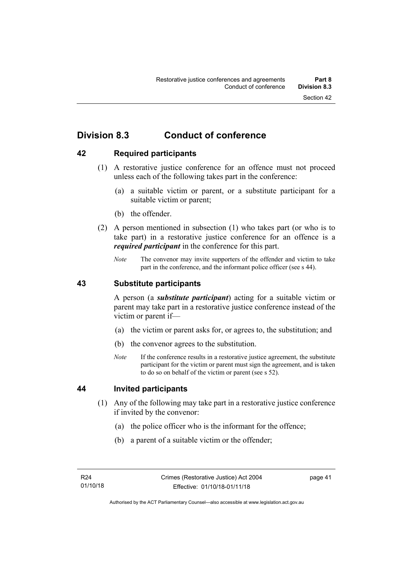# **Division 8.3 Conduct of conference**

# **42 Required participants**

- (1) A restorative justice conference for an offence must not proceed unless each of the following takes part in the conference:
	- (a) a suitable victim or parent, or a substitute participant for a suitable victim or parent;
	- (b) the offender.
- (2) A person mentioned in subsection (1) who takes part (or who is to take part) in a restorative justice conference for an offence is a *required participant* in the conference for this part.
	- *Note* The convenor may invite supporters of the offender and victim to take part in the conference, and the informant police officer (see s 44).

### **43 Substitute participants**

A person (a *substitute participant*) acting for a suitable victim or parent may take part in a restorative justice conference instead of the victim or parent if—

- (a) the victim or parent asks for, or agrees to, the substitution; and
- (b) the convenor agrees to the substitution.
- *Note* If the conference results in a restorative justice agreement, the substitute participant for the victim or parent must sign the agreement, and is taken to do so on behalf of the victim or parent (see s 52).

### **44 Invited participants**

- (1) Any of the following may take part in a restorative justice conference if invited by the convenor:
	- (a) the police officer who is the informant for the offence;
	- (b) a parent of a suitable victim or the offender;

page 41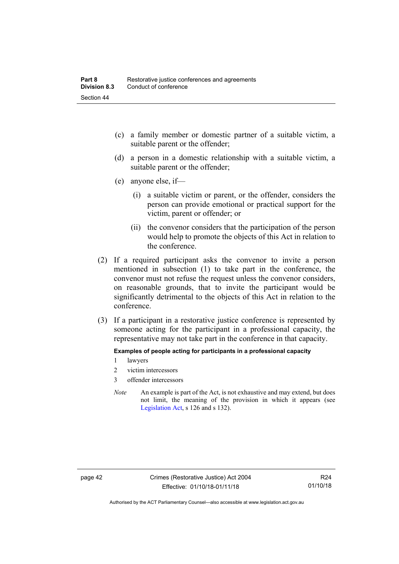- (c) a family member or domestic partner of a suitable victim, a suitable parent or the offender;
- (d) a person in a domestic relationship with a suitable victim, a suitable parent or the offender;
- (e) anyone else, if—
	- (i) a suitable victim or parent, or the offender, considers the person can provide emotional or practical support for the victim, parent or offender; or
	- (ii) the convenor considers that the participation of the person would help to promote the objects of this Act in relation to the conference.
- (2) If a required participant asks the convenor to invite a person mentioned in subsection (1) to take part in the conference, the convenor must not refuse the request unless the convenor considers, on reasonable grounds, that to invite the participant would be significantly detrimental to the objects of this Act in relation to the conference.
- (3) If a participant in a restorative justice conference is represented by someone acting for the participant in a professional capacity, the representative may not take part in the conference in that capacity.

#### **Examples of people acting for participants in a professional capacity**

- 1 lawyers
- 2 victim intercessors
- 3 offender intercessors
- *Note* An example is part of the Act, is not exhaustive and may extend, but does not limit, the meaning of the provision in which it appears (see [Legislation Act,](http://www.legislation.act.gov.au/a/2001-14) s 126 and s 132).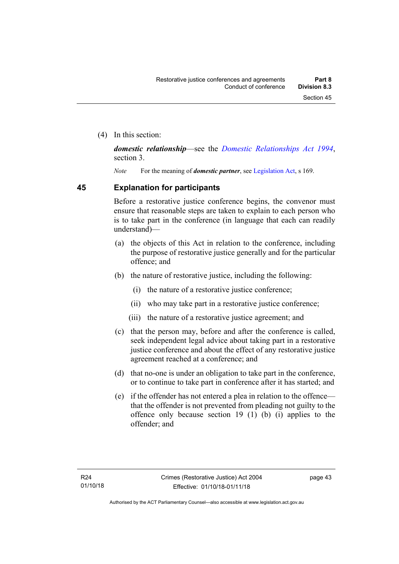(4) In this section:

*domestic relationship*—see the *[Domestic Relationships Act 1994](http://www.legislation.act.gov.au/a/1994-28)*, section 3.

*Note* For the meaning of *domestic partner*, see [Legislation Act,](http://www.legislation.act.gov.au/a/2001-14) s 169.

## **45 Explanation for participants**

Before a restorative justice conference begins, the convenor must ensure that reasonable steps are taken to explain to each person who is to take part in the conference (in language that each can readily understand)—

- (a) the objects of this Act in relation to the conference, including the purpose of restorative justice generally and for the particular offence; and
- (b) the nature of restorative justice, including the following:
	- (i) the nature of a restorative justice conference;
	- (ii) who may take part in a restorative justice conference;
	- (iii) the nature of a restorative justice agreement; and
- (c) that the person may, before and after the conference is called, seek independent legal advice about taking part in a restorative justice conference and about the effect of any restorative justice agreement reached at a conference; and
- (d) that no-one is under an obligation to take part in the conference, or to continue to take part in conference after it has started; and
- (e) if the offender has not entered a plea in relation to the offence that the offender is not prevented from pleading not guilty to the offence only because section 19 (1) (b) (i) applies to the offender; and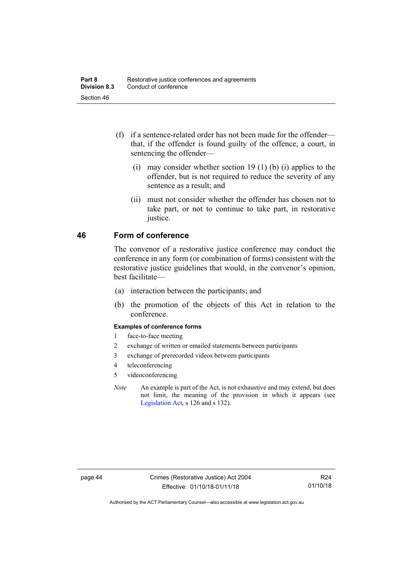- (f) if a sentence-related order has not been made for the offender that, if the offender is found guilty of the offence, a court, in sentencing the offender—
	- (i) may consider whether section 19 (1) (b) (i) applies to the offender, but is not required to reduce the severity of any sentence as a result; and
	- (ii) must not consider whether the offender has chosen not to take part, or not to continue to take part, in restorative justice.

### **46 Form of conference**

The convenor of a restorative justice conference may conduct the conference in any form (or combination of forms) consistent with the restorative justice guidelines that would, in the convenor's opinion, best facilitate—

- (a) interaction between the participants; and
- (b) the promotion of the objects of this Act in relation to the conference.

#### **Examples of conference forms**

- 1 face-to-face meeting
- 2 exchange of written or emailed statements between participants
- 3 exchange of prerecorded videos between participants
- 4 teleconferencing
- 5 videoconferencing
- *Note* An example is part of the Act, is not exhaustive and may extend, but does not limit, the meaning of the provision in which it appears (see [Legislation Act,](http://www.legislation.act.gov.au/a/2001-14) s 126 and s 132).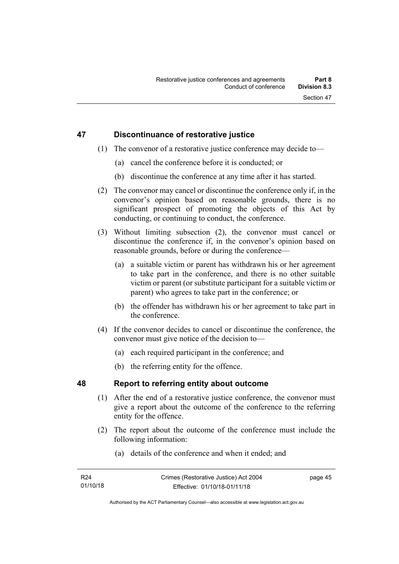## **47 Discontinuance of restorative justice**

- (1) The convenor of a restorative justice conference may decide to—
	- (a) cancel the conference before it is conducted; or
	- (b) discontinue the conference at any time after it has started.
- (2) The convenor may cancel or discontinue the conference only if, in the convenor's opinion based on reasonable grounds, there is no significant prospect of promoting the objects of this Act by conducting, or continuing to conduct, the conference.
- (3) Without limiting subsection (2), the convenor must cancel or discontinue the conference if, in the convenor's opinion based on reasonable grounds, before or during the conference—
	- (a) a suitable victim or parent has withdrawn his or her agreement to take part in the conference, and there is no other suitable victim or parent (or substitute participant for a suitable victim or parent) who agrees to take part in the conference; or
	- (b) the offender has withdrawn his or her agreement to take part in the conference.
- (4) If the convenor decides to cancel or discontinue the conference, the convenor must give notice of the decision to—
	- (a) each required participant in the conference; and
	- (b) the referring entity for the offence.

# **48 Report to referring entity about outcome**

- (1) After the end of a restorative justice conference, the convenor must give a report about the outcome of the conference to the referring entity for the offence.
- (2) The report about the outcome of the conference must include the following information:
	- (a) details of the conference and when it ended; and

page 45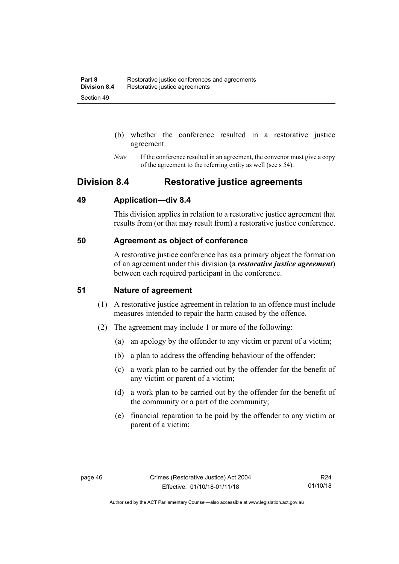- (b) whether the conference resulted in a restorative justice agreement.
- *Note* If the conference resulted in an agreement, the convenor must give a copy of the agreement to the referring entity as well (see s 54).

# **Division 8.4 Restorative justice agreements**

### **49 Application—div 8.4**

This division applies in relation to a restorative justice agreement that results from (or that may result from) a restorative justice conference.

## **50 Agreement as object of conference**

A restorative justice conference has as a primary object the formation of an agreement under this division (a *restorative justice agreement*) between each required participant in the conference.

### **51 Nature of agreement**

- (1) A restorative justice agreement in relation to an offence must include measures intended to repair the harm caused by the offence.
- (2) The agreement may include 1 or more of the following:
	- (a) an apology by the offender to any victim or parent of a victim;
	- (b) a plan to address the offending behaviour of the offender;
	- (c) a work plan to be carried out by the offender for the benefit of any victim or parent of a victim;
	- (d) a work plan to be carried out by the offender for the benefit of the community or a part of the community;
	- (e) financial reparation to be paid by the offender to any victim or parent of a victim;

Authorised by the ACT Parliamentary Counsel—also accessible at www.legislation.act.gov.au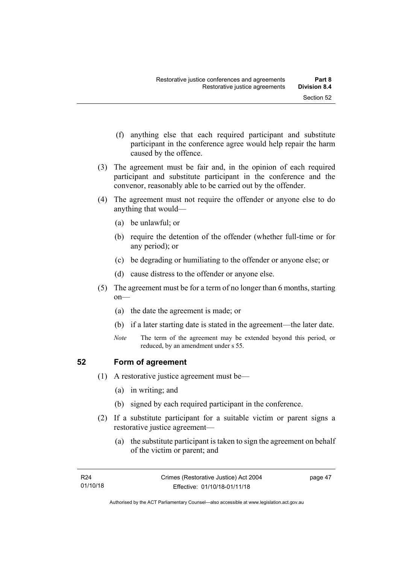- (f) anything else that each required participant and substitute participant in the conference agree would help repair the harm
- (3) The agreement must be fair and, in the opinion of each required participant and substitute participant in the conference and the convenor, reasonably able to be carried out by the offender.
- (4) The agreement must not require the offender or anyone else to do anything that would—
	- (a) be unlawful; or

caused by the offence.

- (b) require the detention of the offender (whether full-time or for any period); or
- (c) be degrading or humiliating to the offender or anyone else; or
- (d) cause distress to the offender or anyone else.
- (5) The agreement must be for a term of no longer than 6 months, starting on—
	- (a) the date the agreement is made; or
	- (b) if a later starting date is stated in the agreement—the later date.
	- *Note* The term of the agreement may be extended beyond this period, or reduced, by an amendment under s 55.

# **52 Form of agreement**

- (1) A restorative justice agreement must be—
	- (a) in writing; and
	- (b) signed by each required participant in the conference.
- (2) If a substitute participant for a suitable victim or parent signs a restorative justice agreement—
	- (a) the substitute participant is taken to sign the agreement on behalf of the victim or parent; and

page 47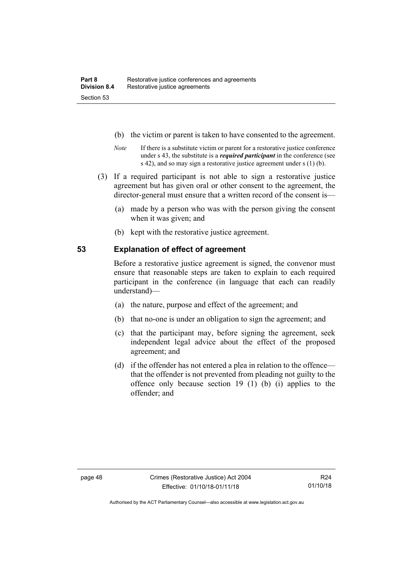- (b) the victim or parent is taken to have consented to the agreement.
- *Note* If there is a substitute victim or parent for a restorative justice conference under s 43, the substitute is a *required participant* in the conference (see s 42), and so may sign a restorative justice agreement under s (1) (b).
- (3) If a required participant is not able to sign a restorative justice agreement but has given oral or other consent to the agreement, the director-general must ensure that a written record of the consent is—
	- (a) made by a person who was with the person giving the consent when it was given; and
	- (b) kept with the restorative justice agreement.

## **53 Explanation of effect of agreement**

Before a restorative justice agreement is signed, the convenor must ensure that reasonable steps are taken to explain to each required participant in the conference (in language that each can readily understand)—

- (a) the nature, purpose and effect of the agreement; and
- (b) that no-one is under an obligation to sign the agreement; and
- (c) that the participant may, before signing the agreement, seek independent legal advice about the effect of the proposed agreement; and
- (d) if the offender has not entered a plea in relation to the offence that the offender is not prevented from pleading not guilty to the offence only because section 19 (1) (b) (i) applies to the offender; and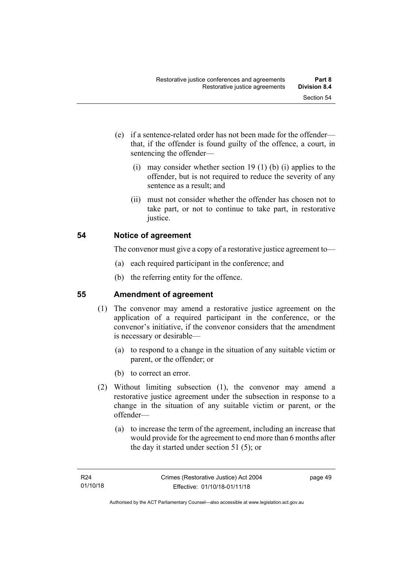- (e) if a sentence-related order has not been made for the offender that, if the offender is found guilty of the offence, a court, in sentencing the offender—
	- (i) may consider whether section 19 (1) (b) (i) applies to the offender, but is not required to reduce the severity of any sentence as a result; and
	- (ii) must not consider whether the offender has chosen not to take part, or not to continue to take part, in restorative justice.

# **54 Notice of agreement**

The convenor must give a copy of a restorative justice agreement to—

- (a) each required participant in the conference; and
- (b) the referring entity for the offence.

# **55 Amendment of agreement**

- (1) The convenor may amend a restorative justice agreement on the application of a required participant in the conference, or the convenor's initiative, if the convenor considers that the amendment is necessary or desirable—
	- (a) to respond to a change in the situation of any suitable victim or parent, or the offender; or
	- (b) to correct an error.
- (2) Without limiting subsection (1), the convenor may amend a restorative justice agreement under the subsection in response to a change in the situation of any suitable victim or parent, or the offender—
	- (a) to increase the term of the agreement, including an increase that would provide for the agreement to end more than 6 months after the day it started under section 51 (5); or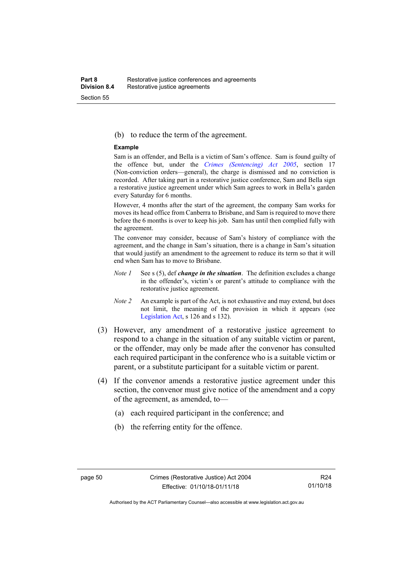#### (b) to reduce the term of the agreement.

#### **Example**

Sam is an offender, and Bella is a victim of Sam's offence. Sam is found guilty of the offence but, under the *[Crimes \(Sentencing\) Act 2005](http://www.legislation.act.gov.au/a/2005-58)*, section 17 (Non-conviction orders—general), the charge is dismissed and no conviction is recorded. After taking part in a restorative justice conference, Sam and Bella sign a restorative justice agreement under which Sam agrees to work in Bella's garden every Saturday for 6 months.

However, 4 months after the start of the agreement, the company Sam works for moves its head office from Canberra to Brisbane, and Sam is required to move there before the 6 months is over to keep his job. Sam has until then complied fully with the agreement.

The convenor may consider, because of Sam's history of compliance with the agreement, and the change in Sam's situation, there is a change in Sam's situation that would justify an amendment to the agreement to reduce its term so that it will end when Sam has to move to Brisbane.

- *Note 1* See s (5), def *change in the situation*. The definition excludes a change in the offender's, victim's or parent's attitude to compliance with the restorative justice agreement.
- *Note 2* An example is part of the Act, is not exhaustive and may extend, but does not limit, the meaning of the provision in which it appears (see [Legislation Act,](http://www.legislation.act.gov.au/a/2001-14) s 126 and s 132).
- (3) However, any amendment of a restorative justice agreement to respond to a change in the situation of any suitable victim or parent, or the offender, may only be made after the convenor has consulted each required participant in the conference who is a suitable victim or parent, or a substitute participant for a suitable victim or parent.
- (4) If the convenor amends a restorative justice agreement under this section, the convenor must give notice of the amendment and a copy of the agreement, as amended, to—
	- (a) each required participant in the conference; and
	- (b) the referring entity for the offence.

Authorised by the ACT Parliamentary Counsel—also accessible at www.legislation.act.gov.au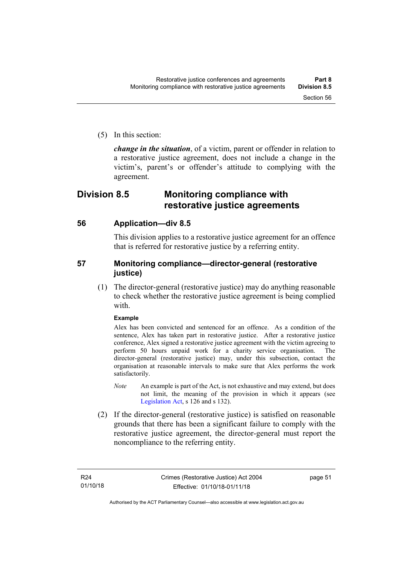- 
- (5) In this section:

*change in the situation*, of a victim, parent or offender in relation to a restorative justice agreement, does not include a change in the victim's, parent's or offender's attitude to complying with the agreement.

# **Division 8.5 Monitoring compliance with restorative justice agreements**

### **56 Application—div 8.5**

This division applies to a restorative justice agreement for an offence that is referred for restorative justice by a referring entity.

## **57 Monitoring compliance—director-general (restorative justice)**

(1) The director-general (restorative justice) may do anything reasonable to check whether the restorative justice agreement is being complied with

#### **Example**

Alex has been convicted and sentenced for an offence. As a condition of the sentence, Alex has taken part in restorative justice. After a restorative justice conference, Alex signed a restorative justice agreement with the victim agreeing to perform 50 hours unpaid work for a charity service organisation. The director-general (restorative justice) may, under this subsection, contact the organisation at reasonable intervals to make sure that Alex performs the work satisfactorily.

- *Note* An example is part of the Act, is not exhaustive and may extend, but does not limit, the meaning of the provision in which it appears (see [Legislation Act,](http://www.legislation.act.gov.au/a/2001-14) s 126 and s 132).
- (2) If the director-general (restorative justice) is satisfied on reasonable grounds that there has been a significant failure to comply with the restorative justice agreement, the director-general must report the noncompliance to the referring entity.

page 51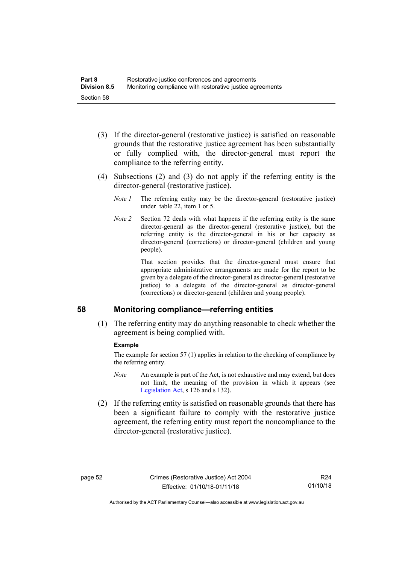- (3) If the director-general (restorative justice) is satisfied on reasonable grounds that the restorative justice agreement has been substantially or fully complied with, the director-general must report the compliance to the referring entity.
- (4) Subsections (2) and (3) do not apply if the referring entity is the director-general (restorative justice).
	- *Note 1* The referring entity may be the director-general (restorative justice) under table 22, item 1 or 5.
	- *Note 2* Section 72 deals with what happens if the referring entity is the same director-general as the director-general (restorative justice), but the referring entity is the director-general in his or her capacity as director-general (corrections) or director-general (children and young people).

That section provides that the director-general must ensure that appropriate administrative arrangements are made for the report to be given by a delegate of the director-general as director-general (restorative justice) to a delegate of the director-general as director-general (corrections) or director-general (children and young people).

### **58 Monitoring compliance—referring entities**

(1) The referring entity may do anything reasonable to check whether the agreement is being complied with.

### **Example**

The example for section 57 (1) applies in relation to the checking of compliance by the referring entity.

- *Note* An example is part of the Act, is not exhaustive and may extend, but does not limit, the meaning of the provision in which it appears (see [Legislation Act,](http://www.legislation.act.gov.au/a/2001-14) s 126 and s 132).
- (2) If the referring entity is satisfied on reasonable grounds that there has been a significant failure to comply with the restorative justice agreement, the referring entity must report the noncompliance to the director-general (restorative justice).

Authorised by the ACT Parliamentary Counsel—also accessible at www.legislation.act.gov.au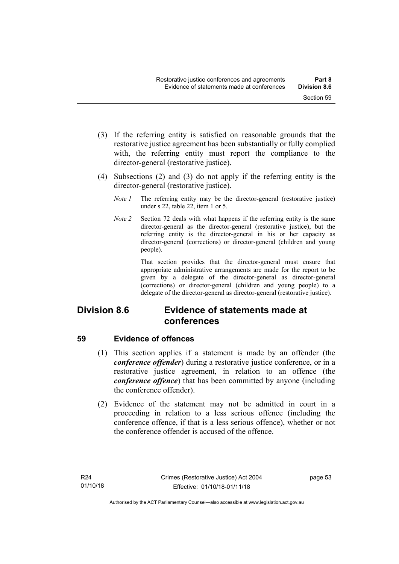- (3) If the referring entity is satisfied on reasonable grounds that the restorative justice agreement has been substantially or fully complied with, the referring entity must report the compliance to the director-general (restorative justice).
- (4) Subsections (2) and (3) do not apply if the referring entity is the director-general (restorative justice).
	- *Note 1* The referring entity may be the director-general (restorative justice) under s 22, table 22, item 1 or 5.
	- *Note 2* Section 72 deals with what happens if the referring entity is the same director-general as the director-general (restorative justice), but the referring entity is the director-general in his or her capacity as director-general (corrections) or director-general (children and young people).

That section provides that the director-general must ensure that appropriate administrative arrangements are made for the report to be given by a delegate of the director-general as director-general (corrections) or director-general (children and young people) to a delegate of the director-general as director-general (restorative justice).

# **Division 8.6 Evidence of statements made at conferences**

# **59 Evidence of offences**

- (1) This section applies if a statement is made by an offender (the *conference offender*) during a restorative justice conference, or in a restorative justice agreement, in relation to an offence (the *conference offence*) that has been committed by anyone (including the conference offender).
- (2) Evidence of the statement may not be admitted in court in a proceeding in relation to a less serious offence (including the conference offence, if that is a less serious offence), whether or not the conference offender is accused of the offence.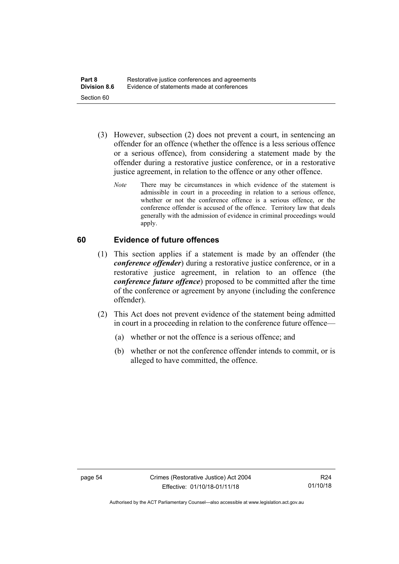- (3) However, subsection (2) does not prevent a court, in sentencing an offender for an offence (whether the offence is a less serious offence or a serious offence), from considering a statement made by the offender during a restorative justice conference, or in a restorative justice agreement, in relation to the offence or any other offence.
	- *Note* There may be circumstances in which evidence of the statement is admissible in court in a proceeding in relation to a serious offence, whether or not the conference offence is a serious offence, or the conference offender is accused of the offence. Territory law that deals generally with the admission of evidence in criminal proceedings would apply.

## **60 Evidence of future offences**

- (1) This section applies if a statement is made by an offender (the *conference offender*) during a restorative justice conference, or in a restorative justice agreement, in relation to an offence (the *conference future offence*) proposed to be committed after the time of the conference or agreement by anyone (including the conference offender).
- (2) This Act does not prevent evidence of the statement being admitted in court in a proceeding in relation to the conference future offence—
	- (a) whether or not the offence is a serious offence; and
	- (b) whether or not the conference offender intends to commit, or is alleged to have committed, the offence.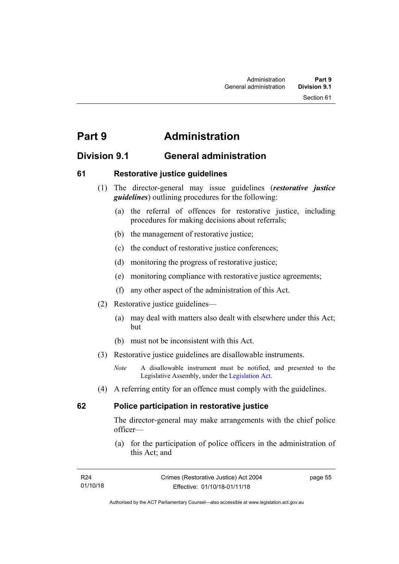Section 61

# **Part 9 Administration**

# **Division 9.1 General administration**

# **61 Restorative justice guidelines**

- (1) The director-general may issue guidelines (*restorative justice guidelines*) outlining procedures for the following:
	- (a) the referral of offences for restorative justice, including procedures for making decisions about referrals;
	- (b) the management of restorative justice;
	- (c) the conduct of restorative justice conferences;
	- (d) monitoring the progress of restorative justice;
	- (e) monitoring compliance with restorative justice agreements;
	- (f) any other aspect of the administration of this Act.
- (2) Restorative justice guidelines—
	- (a) may deal with matters also dealt with elsewhere under this Act; but
	- (b) must not be inconsistent with this Act.
- (3) Restorative justice guidelines are disallowable instruments.

(4) A referring entity for an offence must comply with the guidelines.

# **62 Police participation in restorative justice**

The director-general may make arrangements with the chief police officer—

(a) for the participation of police officers in the administration of this Act; and

| R24      | Crimes (Restorative Justice) Act 2004 | page 55 |
|----------|---------------------------------------|---------|
| 01/10/18 | Effective: 01/10/18-01/11/18          |         |

*Note* A disallowable instrument must be notified, and presented to the Legislative Assembly, under the [Legislation Act.](http://www.legislation.act.gov.au/a/2001-14)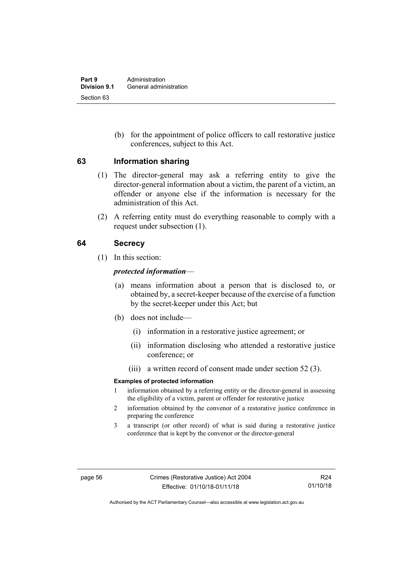(b) for the appointment of police officers to call restorative justice conferences, subject to this Act.

### **63 Information sharing**

- (1) The director-general may ask a referring entity to give the director-general information about a victim, the parent of a victim, an offender or anyone else if the information is necessary for the administration of this Act.
- (2) A referring entity must do everything reasonable to comply with a request under subsection (1).

# **64 Secrecy**

(1) In this section:

### *protected information*—

- (a) means information about a person that is disclosed to, or obtained by, a secret-keeper because of the exercise of a function by the secret-keeper under this Act; but
- (b) does not include—
	- (i) information in a restorative justice agreement; or
	- (ii) information disclosing who attended a restorative justice conference; or
	- (iii) a written record of consent made under section 52 (3).

#### **Examples of protected information**

- 1 information obtained by a referring entity or the director-general in assessing the eligibility of a victim, parent or offender for restorative justice
- 2 information obtained by the convenor of a restorative justice conference in preparing the conference
- 3 a transcript (or other record) of what is said during a restorative justice conference that is kept by the convenor or the director-general

Authorised by the ACT Parliamentary Counsel—also accessible at www.legislation.act.gov.au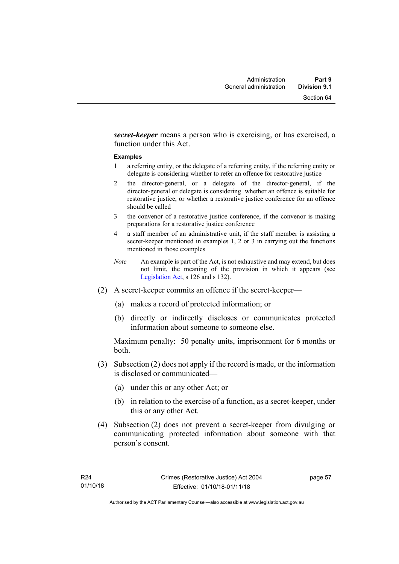*secret-keeper* means a person who is exercising, or has exercised, a function under this Act.

#### **Examples**

- 1 a referring entity, or the delegate of a referring entity, if the referring entity or delegate is considering whether to refer an offence for restorative justice
- 2 the director-general, or a delegate of the director-general, if the director-general or delegate is considering whether an offence is suitable for restorative justice, or whether a restorative justice conference for an offence should be called
- 3 the convenor of a restorative justice conference, if the convenor is making preparations for a restorative justice conference
- 4 a staff member of an administrative unit, if the staff member is assisting a secret-keeper mentioned in examples 1, 2 or 3 in carrying out the functions mentioned in those examples
- *Note* An example is part of the Act, is not exhaustive and may extend, but does not limit, the meaning of the provision in which it appears (see [Legislation Act,](http://www.legislation.act.gov.au/a/2001-14) s 126 and s 132).
- (2) A secret-keeper commits an offence if the secret-keeper—
	- (a) makes a record of protected information; or
	- (b) directly or indirectly discloses or communicates protected information about someone to someone else.

Maximum penalty: 50 penalty units, imprisonment for 6 months or both.

- (3) Subsection (2) does not apply if the record is made, or the information is disclosed or communicated—
	- (a) under this or any other Act; or
	- (b) in relation to the exercise of a function, as a secret-keeper, under this or any other Act.
- (4) Subsection (2) does not prevent a secret-keeper from divulging or communicating protected information about someone with that person's consent.

page 57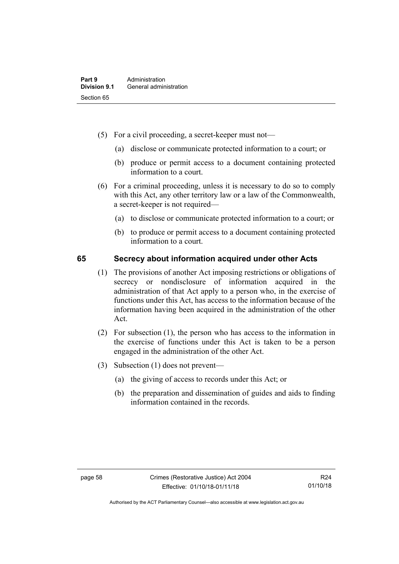- (5) For a civil proceeding, a secret-keeper must not—
	- (a) disclose or communicate protected information to a court; or
	- (b) produce or permit access to a document containing protected information to a court.
- (6) For a criminal proceeding, unless it is necessary to do so to comply with this Act, any other territory law or a law of the Commonwealth, a secret-keeper is not required—
	- (a) to disclose or communicate protected information to a court; or
	- (b) to produce or permit access to a document containing protected information to a court.

## **65 Secrecy about information acquired under other Acts**

- (1) The provisions of another Act imposing restrictions or obligations of secrecy or nondisclosure of information acquired in the administration of that Act apply to a person who, in the exercise of functions under this Act, has access to the information because of the information having been acquired in the administration of the other Act.
- (2) For subsection (1), the person who has access to the information in the exercise of functions under this Act is taken to be a person engaged in the administration of the other Act.
- (3) Subsection (1) does not prevent—
	- (a) the giving of access to records under this Act; or
	- (b) the preparation and dissemination of guides and aids to finding information contained in the records.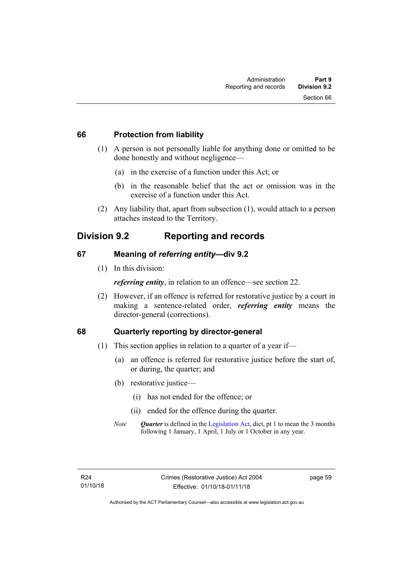### **66 Protection from liability**

- (1) A person is not personally liable for anything done or omitted to be done honestly and without negligence—
	- (a) in the exercise of a function under this Act; or
	- (b) in the reasonable belief that the act or omission was in the exercise of a function under this Act.
- (2) Any liability that, apart from subsection (1), would attach to a person attaches instead to the Territory.

# **Division 9.2 Reporting and records**

# **67 Meaning of** *referring entity—***div 9.2**

(1) In this division:

*referring entity*, in relation to an offence—see section 22.

(2) However, if an offence is referred for restorative justice by a court in making a sentence-related order, *referring entity* means the director-general (corrections).

# **68 Quarterly reporting by director-general**

- (1) This section applies in relation to a quarter of a year if—
	- (a) an offence is referred for restorative justice before the start of, or during, the quarter; and
	- (b) restorative justice—
		- (i) has not ended for the offence; or
		- (ii) ended for the offence during the quarter.
	- *Note* **Quarter** is defined in the [Legislation Act,](http://www.legislation.act.gov.au/a/2001-14) dict, pt 1 to mean the 3 months following 1 January, 1 April, 1 July or 1 October in any year.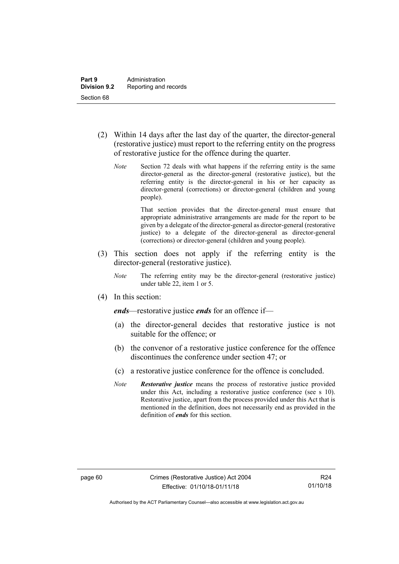- (2) Within 14 days after the last day of the quarter, the director-general (restorative justice) must report to the referring entity on the progress of restorative justice for the offence during the quarter.
	- *Note* Section 72 deals with what happens if the referring entity is the same director-general as the director-general (restorative justice), but the referring entity is the director-general in his or her capacity as director-general (corrections) or director-general (children and young people).

That section provides that the director-general must ensure that appropriate administrative arrangements are made for the report to be given by a delegate of the director-general as director-general (restorative justice) to a delegate of the director-general as director-general (corrections) or director-general (children and young people).

- (3) This section does not apply if the referring entity is the director-general (restorative justice).
	- *Note* The referring entity may be the director-general (restorative justice) under table 22, item 1 or 5.
- (4) In this section:

*ends*—restorative justice *ends* for an offence if—

- (a) the director-general decides that restorative justice is not suitable for the offence; or
- (b) the convenor of a restorative justice conference for the offence discontinues the conference under section 47; or
- (c) a restorative justice conference for the offence is concluded.
- *Note Restorative justice* means the process of restorative justice provided under this Act, including a restorative justice conference (see s 10). Restorative justice, apart from the process provided under this Act that is mentioned in the definition, does not necessarily end as provided in the definition of *ends* for this section.

Authorised by the ACT Parliamentary Counsel—also accessible at www.legislation.act.gov.au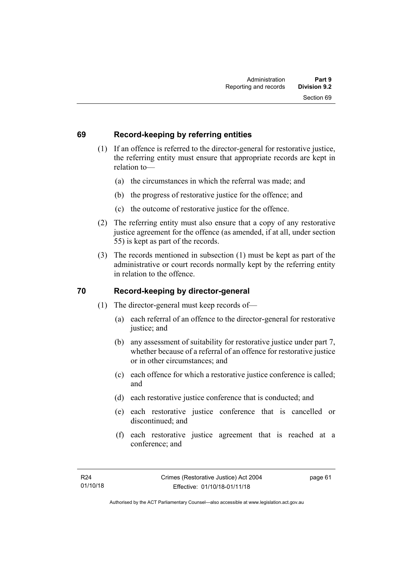## **69 Record-keeping by referring entities**

- (1) If an offence is referred to the director-general for restorative justice, the referring entity must ensure that appropriate records are kept in relation to—
	- (a) the circumstances in which the referral was made; and
	- (b) the progress of restorative justice for the offence; and
	- (c) the outcome of restorative justice for the offence.
- (2) The referring entity must also ensure that a copy of any restorative justice agreement for the offence (as amended, if at all, under section 55) is kept as part of the records.
- (3) The records mentioned in subsection (1) must be kept as part of the administrative or court records normally kept by the referring entity in relation to the offence.

# **70 Record-keeping by director-general**

- (1) The director-general must keep records of—
	- (a) each referral of an offence to the director-general for restorative justice; and
	- (b) any assessment of suitability for restorative justice under part 7, whether because of a referral of an offence for restorative justice or in other circumstances; and
	- (c) each offence for which a restorative justice conference is called; and
	- (d) each restorative justice conference that is conducted; and
	- (e) each restorative justice conference that is cancelled or discontinued; and
	- (f) each restorative justice agreement that is reached at a conference; and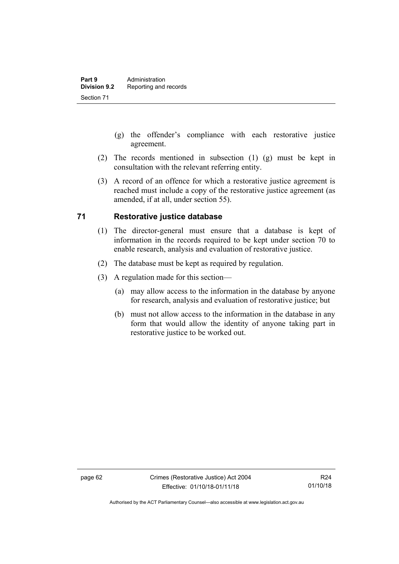- (g) the offender's compliance with each restorative justice agreement.
- (2) The records mentioned in subsection (1) (g) must be kept in consultation with the relevant referring entity.
- (3) A record of an offence for which a restorative justice agreement is reached must include a copy of the restorative justice agreement (as amended, if at all, under section 55).

# **71 Restorative justice database**

- (1) The director-general must ensure that a database is kept of information in the records required to be kept under section 70 to enable research, analysis and evaluation of restorative justice.
- (2) The database must be kept as required by regulation.
- (3) A regulation made for this section—
	- (a) may allow access to the information in the database by anyone for research, analysis and evaluation of restorative justice; but
	- (b) must not allow access to the information in the database in any form that would allow the identity of anyone taking part in restorative justice to be worked out.

Authorised by the ACT Parliamentary Counsel—also accessible at www.legislation.act.gov.au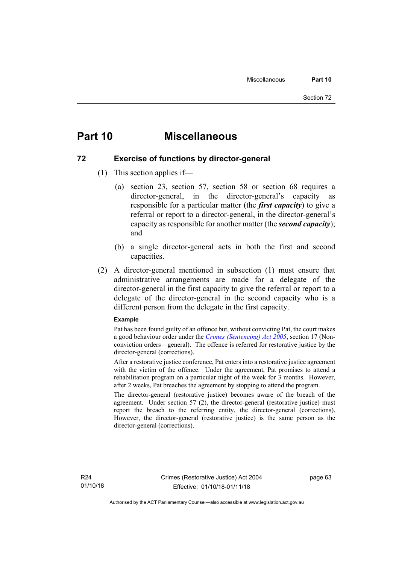# **Part 10 Miscellaneous**

### **72 Exercise of functions by director-general**

- (1) This section applies if—
	- (a) section 23, section 57, section 58 or section 68 requires a director-general, in the director-general's capacity as responsible for a particular matter (the *first capacity*) to give a referral or report to a director-general, in the director-general's capacity as responsible for another matter (the *second capacity*); and
	- (b) a single director-general acts in both the first and second capacities.
- (2) A director-general mentioned in subsection (1) must ensure that administrative arrangements are made for a delegate of the director-general in the first capacity to give the referral or report to a delegate of the director-general in the second capacity who is a different person from the delegate in the first capacity.

#### **Example**

Pat has been found guilty of an offence but, without convicting Pat, the court makes a good behaviour order under the *[Crimes \(Sentencing\) Act 2005](http://www.legislation.act.gov.au/a/2005-58)*, section 17 (Nonconviction orders—general). The offence is referred for restorative justice by the director-general (corrections).

After a restorative justice conference, Pat enters into a restorative justice agreement with the victim of the offence. Under the agreement, Pat promises to attend a rehabilitation program on a particular night of the week for 3 months. However, after 2 weeks, Pat breaches the agreement by stopping to attend the program.

The director-general (restorative justice) becomes aware of the breach of the agreement. Under section 57 (2), the director-general (restorative justice) must report the breach to the referring entity, the director-general (corrections). However, the director-general (restorative justice) is the same person as the director-general (corrections).

page 63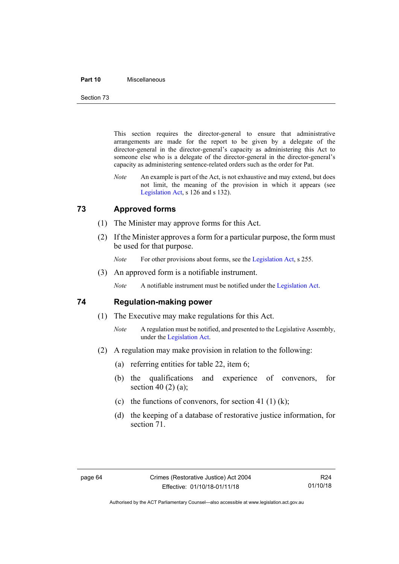#### **Part 10** Miscellaneous

Section 73

This section requires the director-general to ensure that administrative arrangements are made for the report to be given by a delegate of the director-general in the director-general's capacity as administering this Act to someone else who is a delegate of the director-general in the director-general's capacity as administering sentence-related orders such as the order for Pat.

*Note* An example is part of the Act, is not exhaustive and may extend, but does not limit, the meaning of the provision in which it appears (see [Legislation Act,](http://www.legislation.act.gov.au/a/2001-14) s 126 and s 132).

## **73 Approved forms**

- (1) The Minister may approve forms for this Act.
- (2) If the Minister approves a form for a particular purpose, the form must be used for that purpose.

*Note* For other provisions about forms, see th[e Legislation Act,](http://www.legislation.act.gov.au/a/2001-14) s 255.

(3) An approved form is a notifiable instrument.

*Note* A notifiable instrument must be notified under the [Legislation Act.](http://www.legislation.act.gov.au/a/2001-14)

### **74 Regulation-making power**

- (1) The Executive may make regulations for this Act.
	- *Note* A regulation must be notified, and presented to the Legislative Assembly, under the [Legislation Act.](http://www.legislation.act.gov.au/a/2001-14)
- (2) A regulation may make provision in relation to the following:
	- (a) referring entities for table 22, item 6;
	- (b) the qualifications and experience of convenors, for section 40 $(2)$  $(a)$ ;
	- (c) the functions of convenors, for section 41 (1) (k);
	- (d) the keeping of a database of restorative justice information, for section 71.

Authorised by the ACT Parliamentary Counsel—also accessible at www.legislation.act.gov.au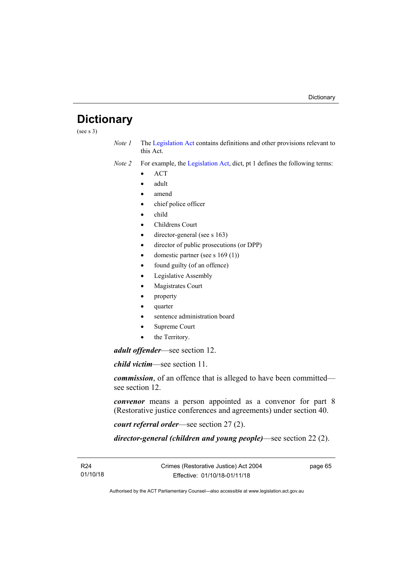# **Dictionary**

 $(see s 3)$ 

*Note 1* The [Legislation Act](http://www.legislation.act.gov.au/a/2001-14) contains definitions and other provisions relevant to this Act.

*Note 2* For example, the [Legislation Act,](http://www.legislation.act.gov.au/a/2001-14) dict, pt 1 defines the following terms:

- ACT
- adult
- amend
- chief police officer
- child
- Childrens Court
- director-general (see s 163)
- director of public prosecutions (or DPP)
- domestic partner (see s  $169(1)$ )
- found guilty (of an offence)
- Legislative Assembly
- Magistrates Court
- property
- quarter
- sentence administration board
- Supreme Court
- the Territory.

*adult offender*—see section 12.

*child victim*—see section 11.

*commission*, of an offence that is alleged to have been committed see section 12.

*convenor* means a person appointed as a convenor for part 8 (Restorative justice conferences and agreements) under section 40.

*court referral order*—see section 27 (2).

*director-general (children and young people)*—see section 22 (2).

R24 01/10/18 page 65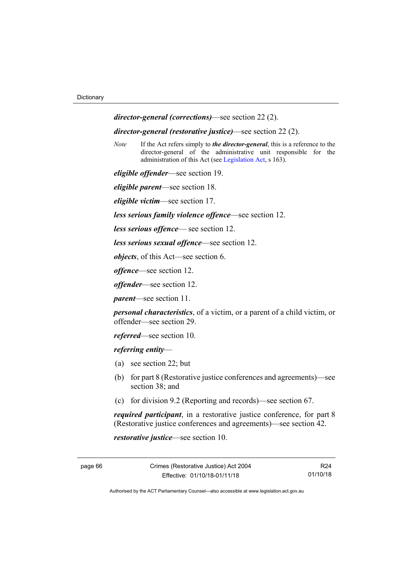*director-general (corrections)*—see section 22 (2).

*director-general (restorative justice)*—see section 22 (2).

*Note* If the Act refers simply to *the director-general*, this is a reference to the director-general of the administrative unit responsible for the administration of this Act (se[e Legislation Act,](http://www.legislation.act.gov.au/a/2001-14) s 163).

*eligible offender*—see section 19.

*eligible parent*—see section 18.

*eligible victim*—see section 17.

*less serious family violence offence*—see section 12.

*less serious offence*— see section 12.

*less serious sexual offence*—see section 12.

*objects*, of this Act—see section 6.

*offence*—see section 12.

*offender*—see section 12.

*parent*—see section 11.

*personal characteristics*, of a victim, or a parent of a child victim, or offender—see section 29.

*referred*—see section 10.

*referring entity*—

- (a) see section 22; but
- (b) for part 8 (Restorative justice conferences and agreements)—see section 38; and
- (c) for division 9.2 (Reporting and records)—see section 67.

*required participant*, in a restorative justice conference, for part 8 (Restorative justice conferences and agreements)—see section 42.

*restorative justice*—see section 10.

R24 01/10/18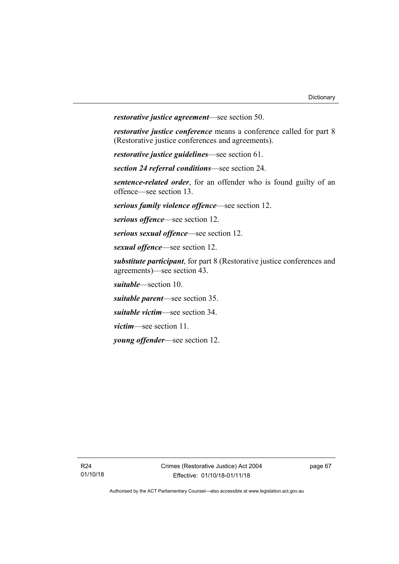*restorative justice agreement*—see section 50.

*restorative justice conference* means a conference called for part 8 (Restorative justice conferences and agreements).

*restorative justice guidelines*—see section 61.

*section 24 referral conditions*—see section 24.

*sentence-related order*, for an offender who is found guilty of an offence—see section 13.

*serious family violence offence*—see section 12.

*serious offence*—see section 12.

*serious sexual offence*—see section 12.

*sexual offence*—see section 12.

*substitute participant*, for part 8 (Restorative justice conferences and agreements)—see section 43.

*suitable*—section 10.

*suitable parent*—see section 35.

*suitable victim*—see section 34.

*victim*—see section 11.

*young offender*—see section 12.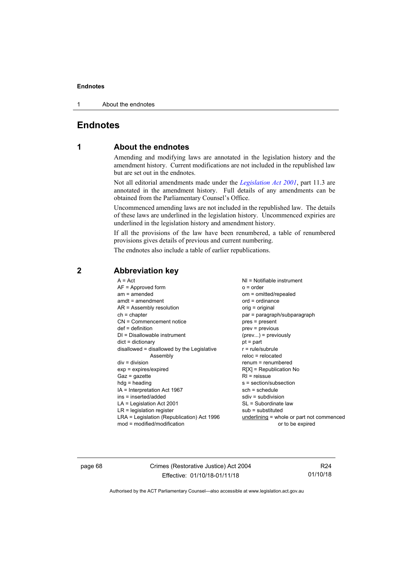1 About the endnotes

# **Endnotes**

### **1 About the endnotes**

Amending and modifying laws are annotated in the legislation history and the amendment history. Current modifications are not included in the republished law but are set out in the endnotes.

Not all editorial amendments made under the *[Legislation Act 2001](http://www.legislation.act.gov.au/a/2001-14)*, part 11.3 are annotated in the amendment history. Full details of any amendments can be obtained from the Parliamentary Counsel's Office.

Uncommenced amending laws are not included in the republished law. The details of these laws are underlined in the legislation history. Uncommenced expiries are underlined in the legislation history and amendment history.

If all the provisions of the law have been renumbered, a table of renumbered provisions gives details of previous and current numbering.

The endnotes also include a table of earlier republications.

| $A = Act$                                  | $NI = Notifiable$ instrument              |
|--------------------------------------------|-------------------------------------------|
| $AF =$ Approved form                       | $o = order$                               |
| $am = amended$                             | om = omitted/repealed                     |
| $amdt = amendment$                         | $ord = ordinance$                         |
| AR = Assembly resolution                   | orig = original                           |
| $ch = chapter$                             | par = paragraph/subparagraph              |
| $CN =$ Commencement notice                 | pres = present                            |
| $def = definition$                         | $prev = previous$                         |
| $DI = Disallowable instrument$             | $(\text{prev}) = \text{previously}$       |
| $dict = dictionary$                        | $pt = part$                               |
| disallowed = disallowed by the Legislative | $r = rule/subrule$                        |
| Assembly                                   | $reloc = relocated$                       |
| $div =$ division                           | $renum = renumbered$                      |
| $exp = expires/expired$                    | $R[X]$ = Republication No                 |
| $Gaz = gazette$                            | $R1$ = reissue                            |
| $hdg =$ heading                            | s = section/subsection                    |
| $IA = Interpretation Act 1967$             | $sch = schedule$                          |
| ins = inserted/added                       | $sdiv = subdivision$                      |
| $LA =$ Legislation Act 2001                | SL = Subordinate law                      |
| $LR =$ legislation register                | $sub =$ substituted                       |
| LRA = Legislation (Republication) Act 1996 | underlining = whole or part not commenced |
| $mod = modified/modification$              | or to be expired                          |
|                                            |                                           |

## **2 Abbreviation key**

page 68 Crimes (Restorative Justice) Act 2004 Effective: 01/10/18-01/11/18

R24 01/10/18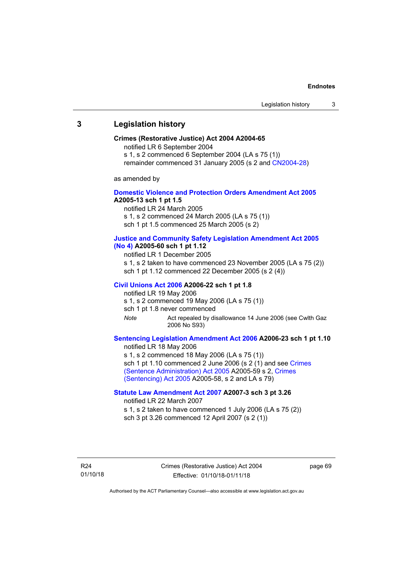### **3 Legislation history**

#### **Crimes (Restorative Justice) Act 2004 A2004-65**

notified LR 6 September 2004

s 1, s 2 commenced 6 September 2004 (LA s 75 (1))

remainder commenced 31 January 2005 (s 2 and [CN2004-28\)](http://www.legislation.act.gov.au/cn/2004-28/default.asp)

as amended by

### **[Domestic Violence and Protection Orders Amendment Act 2005](http://www.legislation.act.gov.au/a/2005-13) A2005-13 sch 1 pt 1.5**

notified LR 24 March 2005

s 1, s 2 commenced 24 March 2005 (LA s 75 (1))

sch 1 pt 1.5 commenced 25 March 2005 (s 2)

#### **[Justice and Community Safety Legislation Amendment Act 2005](http://www.legislation.act.gov.au/a/2005-60)  [\(No](http://www.legislation.act.gov.au/a/2005-60) 4) A2005-60 sch 1 pt 1.12**

notified LR 1 December 2005

s 1, s 2 taken to have commenced 23 November 2005 (LA s 75 (2)) sch 1 pt 1.12 commenced 22 December 2005 (s 2 (4))

#### **[Civil Unions Act 2006](http://www.legislation.act.gov.au/a/2006-22) A2006-22 sch 1 pt 1.8**

notified LR 19 May 2006 s 1, s 2 commenced 19 May 2006 (LA s 75 (1))

sch 1 pt 1.8 never commenced

*Note* Act repealed by disallowance 14 June 2006 (see Cwlth Gaz 2006 No S93)

### **[Sentencing Legislation Amendment Act 2006](http://www.legislation.act.gov.au/a/2006-23) A2006-23 sch 1 pt 1.10**

notified LR 18 May 2006 s 1, s 2 commenced 18 May 2006 (LA s 75 (1)) sch 1 pt 1.10 commenced 2 June 2006 (s 2 (1) and see Crimes [\(Sentence Administration\) Act 2005](http://www.legislation.act.gov.au/a/2005-59) A2005-59 s 2, [Crimes](http://www.legislation.act.gov.au/a/2005-58)  [\(Sentencing\) Act 2005](http://www.legislation.act.gov.au/a/2005-58) A2005-58, s 2 and LA s 79)

### **[Statute Law Amendment Act 2007](http://www.legislation.act.gov.au/a/2007-3) A2007-3 sch 3 pt 3.26**

notified LR 22 March 2007

s 1, s 2 taken to have commenced 1 July 2006 (LA s 75 (2)) sch 3 pt 3.26 commenced 12 April 2007 (s 2 (1))

R24 01/10/18 Crimes (Restorative Justice) Act 2004 Effective: 01/10/18-01/11/18

page 69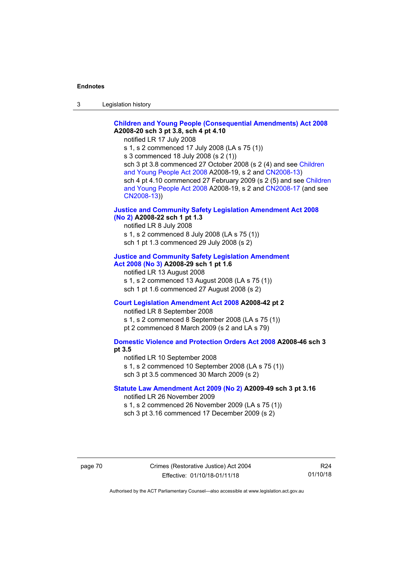3 Legislation history

### **[Children and Young People \(Consequential Amendments\) Act 2008](http://www.legislation.act.gov.au/a/2008-20) A2008-20 sch 3 pt 3.8, sch 4 pt 4.10**

notified LR 17 July 2008

s 1, s 2 commenced 17 July 2008 (LA s 75 (1))

s 3 commenced 18 July 2008 (s 2 (1))

sch 3 pt 3.8 commenced 27 October 2008 (s 2 (4) and see [Children](http://www.legislation.act.gov.au/a/2008-19)  [and Young People Act 2008](http://www.legislation.act.gov.au/a/2008-19) A2008-19, s 2 and [CN2008-13\)](http://www.legislation.act.gov.au/cn/2008-13/default.asp) sch 4 pt 4.10 commenced 27 February 2009 (s 2 (5) and see [Children](http://www.legislation.act.gov.au/a/2008-19)  [and Young People Act 2008](http://www.legislation.act.gov.au/a/2008-19) A2008-19, s 2 and [CN2008-17 \(](http://www.legislation.act.gov.au/cn/2008-17/default.asp)and see [CN2008-13\)](http://www.legislation.act.gov.au/cn/2008-13/default.asp))

### **[Justice and Community Safety Legislation Amendment Act 2008](http://www.legislation.act.gov.au/a/2008-22)  [\(No](http://www.legislation.act.gov.au/a/2008-22) 2) A2008-22 sch 1 pt 1.3**

notified LR 8 July 2008 s 1, s 2 commenced 8 July 2008 (LA s 75 (1)) sch 1 pt 1.3 commenced 29 July 2008 (s 2)

#### **[Justice and Community Safety Legislation Amendment](http://www.legislation.act.gov.au/a/2008-29)  Act [2008](http://www.legislation.act.gov.au/a/2008-29) (No 3) A2008-29 sch 1 pt 1.6**

notified LR 13 August 2008 s 1, s 2 commenced 13 August 2008 (LA s 75 (1)) sch 1 pt 1.6 commenced 27 August 2008 (s 2)

### **[Court Legislation Amendment Act 2008](http://www.legislation.act.gov.au/a/2008-42) A2008-42 pt 2**

notified LR 8 September 2008 s 1, s 2 commenced 8 September 2008 (LA s 75 (1)) pt 2 commenced 8 March 2009 (s 2 and LA s 79)

### **[Domestic Violence and Protection Orders Act 2008](http://www.legislation.act.gov.au/a/2008-46) A2008-46 sch 3 pt 3.5**

notified LR 10 September 2008 s 1, s 2 commenced 10 September 2008 (LA s 75 (1)) sch 3 pt 3.5 commenced 30 March 2009 (s 2)

### **[Statute Law Amendment Act 2009 \(No 2\)](http://www.legislation.act.gov.au/a/2009-49) A2009-49 sch 3 pt 3.16**

notified LR 26 November 2009

s 1, s 2 commenced 26 November 2009 (LA s 75 (1)) sch 3 pt 3.16 commenced 17 December 2009 (s 2)

R24 01/10/18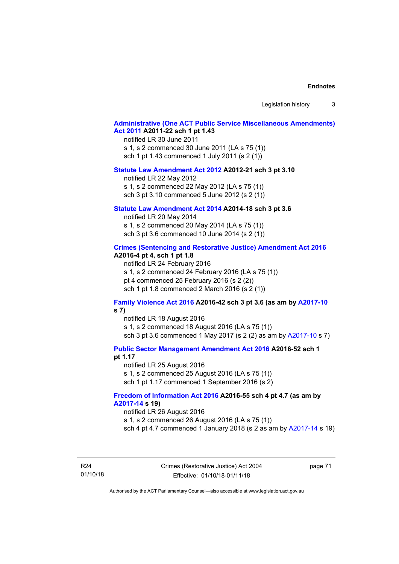Legislation history 3

### **[Administrative \(One ACT Public Service Miscellaneous Amendments\)](http://www.legislation.act.gov.au/a/2011-22)  Act [2011](http://www.legislation.act.gov.au/a/2011-22) A2011-22 sch 1 pt 1.43**

notified LR 30 June 2011 s 1, s 2 commenced 30 June 2011 (LA s 75 (1)) sch 1 pt 1.43 commenced 1 July 2011 (s 2 (1))

#### **[Statute Law Amendment Act 2012](http://www.legislation.act.gov.au/a/2012-21) A2012-21 sch 3 pt 3.10**

notified LR 22 May 2012 s 1, s 2 commenced 22 May 2012 (LA s 75 (1)) sch 3 pt 3.10 commenced 5 June 2012 (s 2 (1))

#### **[Statute Law Amendment Act 2014](http://www.legislation.act.gov.au/a/2014-18) A2014-18 sch 3 pt 3.6**

notified LR 20 May 2014 s 1, s 2 commenced 20 May 2014 (LA s 75 (1)) sch 3 pt 3.6 commenced 10 June 2014 (s 2 (1))

#### **[Crimes \(Sentencing and Restorative Justice\) Amendment Act 2016](http://www.legislation.act.gov.au/a/2016-4/default.asp) A2016-4 pt 4, sch 1 pt 1.8**

notified LR 24 February 2016 s 1, s 2 commenced 24 February 2016 (LA s 75 (1)) pt 4 commenced 25 February 2016 (s 2 (2)) sch 1 pt 1.8 commenced 2 March 2016 (s 2 (1))

#### **[Family Violence Act 2016](http://www.legislation.act.gov.au/a/2016-42/default.asp) A2016-42 sch 3 pt 3.6 (as am by [A2017-10](http://www.legislation.act.gov.au/a/2017-10/default.asp) s 7)**

notified LR 18 August 2016 s 1, s 2 commenced 18 August 2016 (LA s 75 (1)) sch 3 pt 3.6 commenced 1 May 2017 (s 2 (2) as am by [A2017-10](http://www.legislation.act.gov.au/a/2017-10/default.asp) s 7)

**[Public Sector Management Amendment Act 2016](http://www.legislation.act.gov.au/a/2016-52/default.asp) A2016-52 sch 1** 

### **pt 1.17**

notified LR 25 August 2016 s 1, s 2 commenced 25 August 2016 (LA s 75 (1)) sch 1 pt 1.17 commenced 1 September 2016 (s 2)

#### **[Freedom of Information Act 2016](http://www.legislation.act.gov.au/a/2016-55/default.asp) A2016-55 sch 4 pt 4.7 (as am by [A2017-14](http://www.legislation.act.gov.au/a/2017-14) s 19)**

notified LR 26 August 2016

s 1, s 2 commenced 26 August 2016 (LA s 75 (1))

sch 4 pt 4.7 commenced 1 January 2018 (s 2 as am by [A2017-14](http://www.legislation.act.gov.au/a/2017-14) s 19)

R24 01/10/18 Crimes (Restorative Justice) Act 2004 Effective: 01/10/18-01/11/18

page 71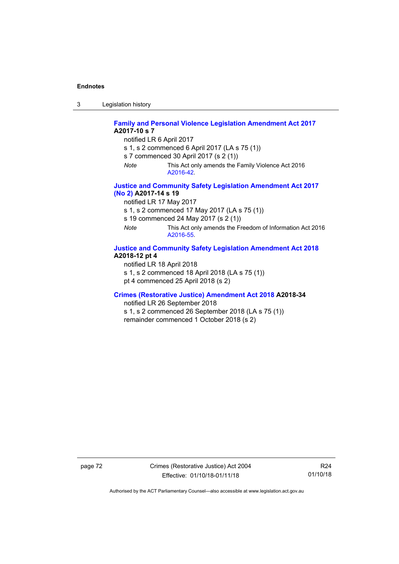3 Legislation history

**[Family and Personal Violence Legislation Amendment Act 2017](http://www.legislation.act.gov.au/a/2017-10/default.asp) A2017-10 s 7**

notified LR 6 April 2017

s 1, s 2 commenced 6 April 2017 (LA s 75 (1))

s 7 commenced 30 April 2017 (s 2 (1))

*Note* This Act only amends the Family Violence Act 2016 [A2016-42.](http://www.legislation.act.gov.au/a/2016-42/default.asp)

### **[Justice and Community Safety Legislation Amendment Act 2017](http://www.legislation.act.gov.au/a/2017-14/default.asp)  [\(No](http://www.legislation.act.gov.au/a/2017-14/default.asp) 2) A2017-14 s 19**

notified LR 17 May 2017

s 1, s 2 commenced 17 May 2017 (LA s 75 (1))

s 19 commenced 24 May 2017 (s 2 (1))

*Note* This Act only amends the Freedom of Information Act 2016 [A2016-55.](http://www.legislation.act.gov.au/a/2016-55/default.asp)

#### **[Justice and Community Safety Legislation Amendment Act 2018](http://www.legislation.act.gov.au/a/2018-12/default.asp) A2018-12 pt 4**

notified LR 18 April 2018 s 1, s 2 commenced 18 April 2018 (LA s 75 (1)) pt 4 commenced 25 April 2018 (s 2)

### **[Crimes \(Restorative Justice\) Amendment Act 2018](http://www.legislation.act.gov.au/a/2018-34/default.asp) A2018-34**

notified LR 26 September 2018

s 1, s 2 commenced 26 September 2018 (LA s 75 (1)) remainder commenced 1 October 2018 (s 2)

page 72 Crimes (Restorative Justice) Act 2004 Effective: 01/10/18-01/11/18

R24 01/10/18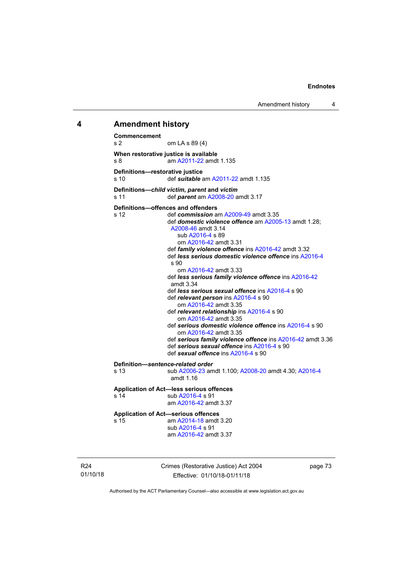Amendment history 4

#### **4 Amendment history**

**Commencement** om LA s 89 (4) **When restorative justice is available** s 8 am [A2011-22](http://www.legislation.act.gov.au/a/2011-22) amdt 1.135 **Definitions—restorative justice**<br>s 10<br>**Configurer** s 10 def *suitable* a[m A2011-22](http://www.legislation.act.gov.au/a/2011-22) amdt 1.135 **Definitions—***child victim***,** *parent* **and** *victim* s 11 def *parent* am [A2008-20](http://www.legislation.act.gov.au/a/2008-20) amdt 3.17 **Definitions—offences and offenders**<br>s 12 def commission a s 12 def *commission* am [A2009-49](http://www.legislation.act.gov.au/a/2009-49) amdt 3.35 def *domestic violence offence* am [A2005-13](http://www.legislation.act.gov.au/a/2005-13) amdt 1.28; [A2008-46](http://www.legislation.act.gov.au/a/2008-46) amdt 3.14 sub [A2016-4](http://www.legislation.act.gov.au/a/2016-4/default.asp) s 89 om [A2016-42](http://www.legislation.act.gov.au/a/2016-42/default.asp) amdt 3.31 def *family violence offence* in[s A2016-42](http://www.legislation.act.gov.au/a/2016-42/default.asp) amdt 3.32 def *less serious domestic violence offence* in[s A2016-4](http://www.legislation.act.gov.au/a/2016-4/default.asp) s 90 om [A2016-42](http://www.legislation.act.gov.au/a/2016-42/default.asp) amdt 3.33 def *less serious family violence offence* ins [A2016-42](http://www.legislation.act.gov.au/a/2016-42/default.asp) amdt 3.34 def *less serious sexual offence* ins [A2016-4](http://www.legislation.act.gov.au/a/2016-4/default.asp) s 90 def *relevant person* in[s A2016-4](http://www.legislation.act.gov.au/a/2016-4/default.asp) s 90 om [A2016-42](http://www.legislation.act.gov.au/a/2016-42/default.asp) amdt 3.35 def *relevant relationship* in[s A2016-4](http://www.legislation.act.gov.au/a/2016-4/default.asp) s 90 om [A2016-42](http://www.legislation.act.gov.au/a/2016-42/default.asp) amdt 3.35 def *serious domestic violence offence* ins [A2016-4](http://www.legislation.act.gov.au/a/2016-4/default.asp) s 90 om [A2016-42](http://www.legislation.act.gov.au/a/2016-42/default.asp) amdt 3.35 def *serious family violence offence* ins [A2016-42](http://www.legislation.act.gov.au/a/2016-42/default.asp) amdt 3.36 def *serious sexual offence* in[s A2016-4](http://www.legislation.act.gov.au/a/2016-4/default.asp) s 90 def *sexual offence* ins [A2016-4](http://www.legislation.act.gov.au/a/2016-4/default.asp) s 90 **Definition—***sentence-related order* s 13 sub [A2006-23](http://www.legislation.act.gov.au/a/2006-23) amdt 1.100[; A2008-20](http://www.legislation.act.gov.au/a/2008-20) amdt 4.30; [A2016-4](http://www.legislation.act.gov.au/a/2016-4/default.asp) amdt 1.16 **Application of Act—less serious offences** s 14 sub [A2016-4](http://www.legislation.act.gov.au/a/2016-4/default.asp) s 91 am [A2016-42](http://www.legislation.act.gov.au/a/2016-42/default.asp) amdt 3.37 **Application of Act—serious offences** am [A2014-18](http://www.legislation.act.gov.au/a/2014-18) amdt 3.20 sub [A2016-4](http://www.legislation.act.gov.au/a/2016-4/default.asp) s 91 am [A2016-42](http://www.legislation.act.gov.au/a/2016-42/default.asp) amdt 3.37

R24 01/10/18 Crimes (Restorative Justice) Act 2004 Effective: 01/10/18-01/11/18

page 73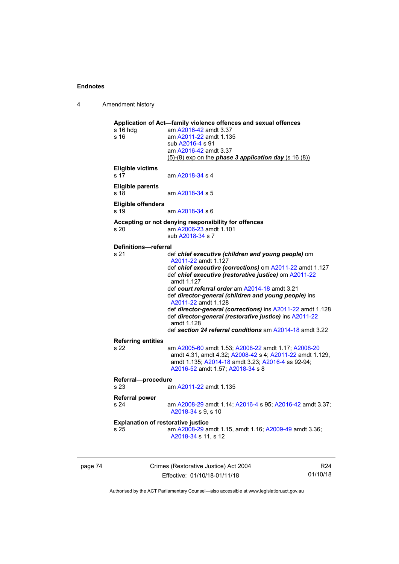4 Amendment history

| am A2011-22 amdt 1.135<br>sub A2016-4 s 91<br>am A2016-42 amdt 3.37<br>$(5)-(8)$ exp on the <i>phase 3 application day</i> $(s 16(8))$<br>am A2018-34 s 4<br>am A2018-34 s 5<br>am A2018-34 s 6<br>Accepting or not denying responsibility for offences<br>am A2006-23 amdt 1.101<br>sub A2018-34 s 7<br>Definitions-referral<br>def chief executive (children and young people) om<br>A2011-22 amdt 1.127<br>def chief executive (restorative justice) om A2011-22<br>amdt 1.127<br>def court referral order am A2014-18 amdt 3.21<br>def director-general (children and young people) ins |
|---------------------------------------------------------------------------------------------------------------------------------------------------------------------------------------------------------------------------------------------------------------------------------------------------------------------------------------------------------------------------------------------------------------------------------------------------------------------------------------------------------------------------------------------------------------------------------------------|
| def chief executive (corrections) om A2011-22 amdt 1.127                                                                                                                                                                                                                                                                                                                                                                                                                                                                                                                                    |
|                                                                                                                                                                                                                                                                                                                                                                                                                                                                                                                                                                                             |
|                                                                                                                                                                                                                                                                                                                                                                                                                                                                                                                                                                                             |
|                                                                                                                                                                                                                                                                                                                                                                                                                                                                                                                                                                                             |
|                                                                                                                                                                                                                                                                                                                                                                                                                                                                                                                                                                                             |
|                                                                                                                                                                                                                                                                                                                                                                                                                                                                                                                                                                                             |
|                                                                                                                                                                                                                                                                                                                                                                                                                                                                                                                                                                                             |
|                                                                                                                                                                                                                                                                                                                                                                                                                                                                                                                                                                                             |
|                                                                                                                                                                                                                                                                                                                                                                                                                                                                                                                                                                                             |
|                                                                                                                                                                                                                                                                                                                                                                                                                                                                                                                                                                                             |
|                                                                                                                                                                                                                                                                                                                                                                                                                                                                                                                                                                                             |
|                                                                                                                                                                                                                                                                                                                                                                                                                                                                                                                                                                                             |
|                                                                                                                                                                                                                                                                                                                                                                                                                                                                                                                                                                                             |
|                                                                                                                                                                                                                                                                                                                                                                                                                                                                                                                                                                                             |
|                                                                                                                                                                                                                                                                                                                                                                                                                                                                                                                                                                                             |
|                                                                                                                                                                                                                                                                                                                                                                                                                                                                                                                                                                                             |
|                                                                                                                                                                                                                                                                                                                                                                                                                                                                                                                                                                                             |
|                                                                                                                                                                                                                                                                                                                                                                                                                                                                                                                                                                                             |
| A2011-22 amdt 1.128                                                                                                                                                                                                                                                                                                                                                                                                                                                                                                                                                                         |
| def director-general (corrections) ins A2011-22 amdt 1.128<br>def director-general (restorative justice) ins A2011-22<br>amdt 1.128                                                                                                                                                                                                                                                                                                                                                                                                                                                         |
| def section 24 referral conditions am A2014-18 amdt 3.22                                                                                                                                                                                                                                                                                                                                                                                                                                                                                                                                    |
|                                                                                                                                                                                                                                                                                                                                                                                                                                                                                                                                                                                             |
| am A2005-60 amdt 1.53; A2008-22 amdt 1.17; A2008-20<br>amdt 4.31, amdt 4.32; A2008-42 s 4; A2011-22 amdt 1.129,<br>amdt 1.135; A2014-18 amdt 3.23; A2016-4 ss 92-94;<br>A2016-52 amdt 1.57; A2018-34 s 8                                                                                                                                                                                                                                                                                                                                                                                    |
| Referral-procedure                                                                                                                                                                                                                                                                                                                                                                                                                                                                                                                                                                          |
| am A2011-22 amdt 1.135                                                                                                                                                                                                                                                                                                                                                                                                                                                                                                                                                                      |
|                                                                                                                                                                                                                                                                                                                                                                                                                                                                                                                                                                                             |
| am A2008-29 amdt 1.14; A2016-4 s 95; A2016-42 amdt 3.37;<br>A2018-34 s 9, s 10                                                                                                                                                                                                                                                                                                                                                                                                                                                                                                              |
| <b>Explanation of restorative justice</b>                                                                                                                                                                                                                                                                                                                                                                                                                                                                                                                                                   |
| am A2008-29 amdt 1.15, amdt 1.16; A2009-49 amdt 3.36;<br>A2018-34 s 11, s 12                                                                                                                                                                                                                                                                                                                                                                                                                                                                                                                |
|                                                                                                                                                                                                                                                                                                                                                                                                                                                                                                                                                                                             |

page 74 Crimes (Restorative Justice) Act 2004 Effective: 01/10/18-01/11/18

R24 01/10/18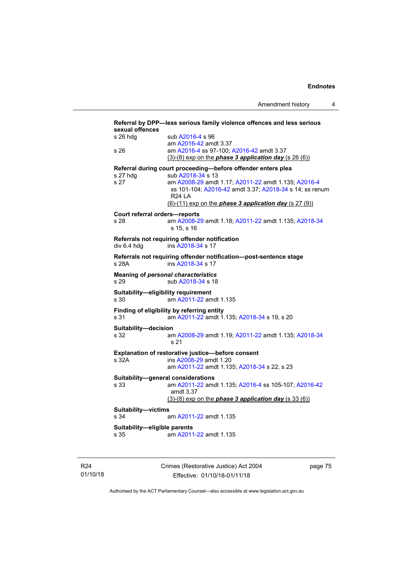| sexual offences                      | Referral by DPP-less serious family violence offences and less serious                                                                                                                                                    |
|--------------------------------------|---------------------------------------------------------------------------------------------------------------------------------------------------------------------------------------------------------------------------|
| s 26 hda                             | sub A2016-4 s 96<br>am A2016-42 amdt 3.37                                                                                                                                                                                 |
| s 26                                 | am A2016-4 ss 97-100; A2016-42 amdt 3.37<br>$(3)-(8)$ exp on the <i>phase 3 application day</i> $(s 26(6))$                                                                                                               |
|                                      | Referral during court proceeding-before offender enters plea                                                                                                                                                              |
| s 27 hdg<br>s <sub>27</sub>          | sub A2018-34 s 13<br>am A2008-29 amdt 1.17; A2011-22 amdt 1.135; A2016-4<br>ss 101-104; A2016-42 amdt 3.37; A2018-34 s 14; ss renum<br><b>R24 LA</b><br>$(6)-(11)$ exp on the <i>phase 3 application day</i> $(s 27 (9))$ |
| <b>Court referral orders-reports</b> |                                                                                                                                                                                                                           |
| s 28                                 | am A2008-29 amdt 1.18; A2011-22 amdt 1.135; A2018-34<br>s 15, s 16                                                                                                                                                        |
| div 6.4 hdg                          | Referrals not requiring offender notification<br>ins A2018-34 s 17                                                                                                                                                        |
| s 28A                                | Referrals not requiring offender notification-post-sentence stage<br>ins A2018-34 s 17                                                                                                                                    |
| s 29                                 | <b>Meaning of personal characteristics</b><br>sub A2018-34 s 18                                                                                                                                                           |
| s 30                                 | Suitability-eligibility requirement<br>am A2011-22 amdt 1.135                                                                                                                                                             |
| s 31                                 | Finding of eligibility by referring entity<br>am A2011-22 amdt 1.135; A2018-34 s 19, s 20                                                                                                                                 |
| Suitability-decision<br>s 32         | am A2008-29 amdt 1.19; A2011-22 amdt 1.135; A2018-34<br>s 21                                                                                                                                                              |
|                                      | Explanation of restorative justice-before consent                                                                                                                                                                         |
| s 32A                                | ins A2008-29 amdt 1.20<br>am A2011-22 amdt 1.135; A2018-34 s 22, s 23                                                                                                                                                     |
|                                      | Suitability-general considerations                                                                                                                                                                                        |
| s 33                                 | am A2011-22 amdt 1.135; A2016-4 ss 105-107; A2016-42<br>amdt 3.37                                                                                                                                                         |
|                                      | $(3)-(8)$ exp on the <b>phase 3 application day</b> $(s\ 33(6))$                                                                                                                                                          |
| Suitability-victims                  |                                                                                                                                                                                                                           |
| s 34                                 | am A2011-22 amdt 1.135                                                                                                                                                                                                    |
| Suitability-eligible parents<br>s 35 | am A2011-22 amdt 1.135                                                                                                                                                                                                    |
|                                      |                                                                                                                                                                                                                           |

R24 01/10/18 Crimes (Restorative Justice) Act 2004 Effective: 01/10/18-01/11/18

page 75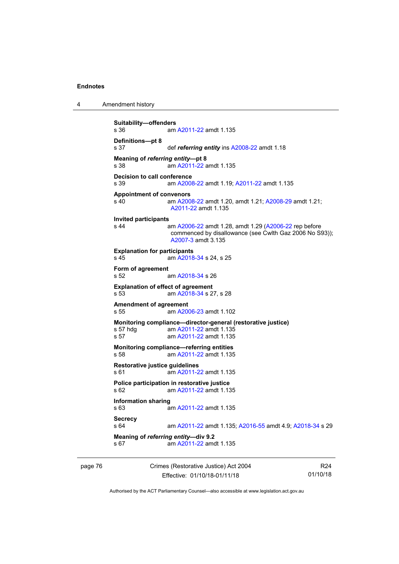4 Amendment history

```
Suitability—offenders
                   A2011-22 amdt 1.135
Definitions—pt 8
s 37 def referring entity ins A2008-22 amdt 1.18
Meaning of referring entity—pt 8<br>s 38 am A2011-22 am
                   A2011-22 amdt 1.135
Decision to call conference
s 39 am A2008-22 amdt 1.19; A2011-22 amdt 1.135
Appointment of convenors<br>s 40 am A200
                  A2008-22 A2008-29 amdt 1.21;
                   A2011-22 amdt 1.135
Invited participants
                   A2006-22(A2006-22 rep before
                   commenced by disallowance (see Cwlth Gaz 2006 No S93)); 
                   A2007-3 amdt 3.135
Explanation for participants<br>s 45 am A2018
                   A2018-34 s 24, s 25
Form of agreement
s 52 am A2018-34 s 26
Explanation of effect of agreement
s 53  A2018-34 s 27, s 28
Amendment of agreement<br>s 55 am A200
                  A2006-23 amdt 1.102
Monitoring compliance—director-general (restorative justice)<br>s 57 hdg am A2011-22 amdt 1.135
 A2011-22 amdt 1.135<br>s 57 am A2011-22 amdt 1.135
                  A2011-22 amdt 1.135
Monitoring compliance—referring entities
s 58 am A2011-22 amdt 1.135
Restorative justice guidelines
                   A2011-22 amdt 1.135
Police participation in restorative justice
s 62 am A2011-22 amdt 1.135
Information sharing
                  A2011-22 amdt 1.135
Secrecy<br>s 64
                 A2011-22 A2016-55 A2018-34 s 29
Meaning of referring entity—div 9.2<br>s 67 am A2011-22 amo
                   A2011-22 amdt 1.135
```
page 76 Crimes (Restorative Justice) Act 2004 Effective: 01/10/18-01/11/18

R24 01/10/18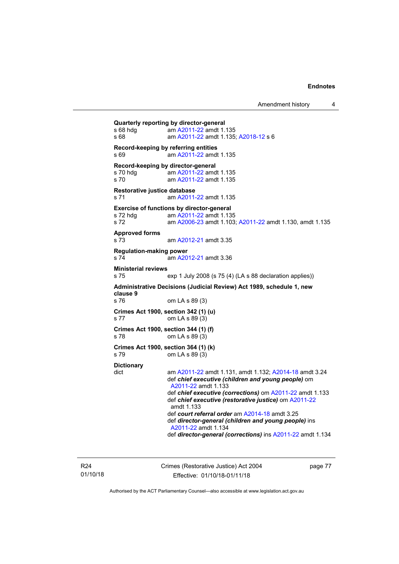Amendment history 4

**Quarterly reporting by director-general**<br>s 68 hdg am A2011-22 amdt 1. am [A2011-22](http://www.legislation.act.gov.au/a/2011-22) amdt 1.135 s 68 am [A2011-22](http://www.legislation.act.gov.au/a/2011-22) amdt 1.135; [A2018-12](http://www.legislation.act.gov.au/a/2018-12/default.asp) s 6 **Record-keeping by referring entities**<br>s 69 am A2011-22 amd am [A2011-22](http://www.legislation.act.gov.au/a/2011-22) amdt 1.135 **Record-keeping by director-general**<br>s 70 hdg am A2011-22 amd s 70 hdg <sup>c</sup> am [A2011-22](http://www.legislation.act.gov.au/a/2011-22) amdt 1.135<br>s 70 cam A2011-22 amdt 1.135 am [A2011-22](http://www.legislation.act.gov.au/a/2011-22) amdt 1.135 **Restorative justice database** am [A2011-22](http://www.legislation.act.gov.au/a/2011-22) amdt 1.135 **Exercise of functions by director-general**<br>s 72 hdg am A2011-22 amdt 1.13 am [A2011-22](http://www.legislation.act.gov.au/a/2011-22) amdt 1.135 s 72 am [A2006-23](http://www.legislation.act.gov.au/a/2006-23) amdt 1.103; [A2011-22](http://www.legislation.act.gov.au/a/2011-22) amdt 1.130, amdt 1.135 **Approved forms** s 73 am [A2012-21](http://www.legislation.act.gov.au/a/2012-21) amdt 3.35 **Regulation-making power**<br>s 74 am A20 am [A2012-21](http://www.legislation.act.gov.au/a/2012-21) amdt 3.36 **Ministerial reviews** s 75 exp 1 July 2008 (s 75 (4) (LA s 88 declaration applies)) **Administrative Decisions (Judicial Review) Act 1989, schedule 1, new clause 9** om LA s 89 (3) **Crimes Act 1900, section 342 (1) (u)** s 77 om LA s 89 (3) **Crimes Act 1900, section 344 (1) (f)**<br>s 78 om LA s 89 (3) om LA s 89 (3) **Crimes Act 1900, section 364 (1) (k)**<br>s 79 om LA s 89 (3) om LA s 89 (3) **Dictionary** am [A2011-22](http://www.legislation.act.gov.au/a/2011-22) amdt 1.131, amdt 1.132; [A2014-18](http://www.legislation.act.gov.au/a/2014-18) amdt 3.24 def *chief executive (children and young people)* om [A2011-22](http://www.legislation.act.gov.au/a/2011-22) amdt 1.133 def *chief executive (corrections)* o[m A2011-22](http://www.legislation.act.gov.au/a/2011-22) amdt 1.133 def *chief executive (restorative justice)* om [A2011-22](http://www.legislation.act.gov.au/a/2011-22) amdt 1.133 def *court referral order* am [A2014-18](http://www.legislation.act.gov.au/a/2014-18) amdt 3.25 def *director-general (children and young people)* ins [A2011-22](http://www.legislation.act.gov.au/a/2011-22) amdt 1.134 def *director-general (corrections)* in[s A2011-22](http://www.legislation.act.gov.au/a/2011-22) amdt 1.134

R24 01/10/18 Crimes (Restorative Justice) Act 2004 Effective: 01/10/18-01/11/18

page 77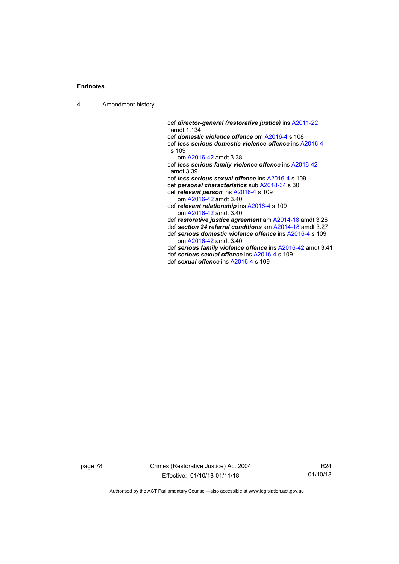4 Amendment history

def *director-general (restorative justice)* in[s A2011-22](http://www.legislation.act.gov.au/a/2011-22) amdt 1.134 def *domestic violence offence* om [A2016-4](http://www.legislation.act.gov.au/a/2016-4/default.asp) s 108 def *less serious domestic violence offence* in[s A2016-4](http://www.legislation.act.gov.au/a/2016-4/default.asp) s 109 om [A2016-42](http://www.legislation.act.gov.au/a/2016-42/default.asp) amdt 3.38 def *less serious family violence offence* ins [A2016-42](http://www.legislation.act.gov.au/a/2016-42/default.asp) amdt 3.39 def *less serious sexual offence* in[s A2016-4](http://www.legislation.act.gov.au/a/2016-4/default.asp) s 109 def *personal characteristics* sub [A2018-34](http://www.legislation.act.gov.au/a/2018-34/default.asp) s 30 def *relevant person* in[s A2016-4](http://www.legislation.act.gov.au/a/2016-4/default.asp) s 109 om [A2016-42](http://www.legislation.act.gov.au/a/2016-42/default.asp) amdt 3.40 def *relevant relationship* in[s A2016-4](http://www.legislation.act.gov.au/a/2016-4/default.asp) s 109 om [A2016-42](http://www.legislation.act.gov.au/a/2016-42/default.asp) amdt 3.40 def *restorative justice agreement* a[m A2014-18](http://www.legislation.act.gov.au/a/2014-18) amdt 3.26 def *section 24 referral conditions* am [A2014-18](http://www.legislation.act.gov.au/a/2014-18) amdt 3.27 def *serious domestic violence offence* in[s A2016-4](http://www.legislation.act.gov.au/a/2016-4/default.asp) s 109 om [A2016-42](http://www.legislation.act.gov.au/a/2016-42/default.asp) amdt 3.40 def *serious family violence offence* ins [A2016-42](http://www.legislation.act.gov.au/a/2016-42/default.asp) amdt 3.41 def *serious sexual offence* in[s A2016-4](http://www.legislation.act.gov.au/a/2016-4/default.asp) s 109 def *sexual offence* ins [A2016-4](http://www.legislation.act.gov.au/a/2016-4/default.asp) s 109

page 78 Crimes (Restorative Justice) Act 2004 Effective: 01/10/18-01/11/18

R24 01/10/18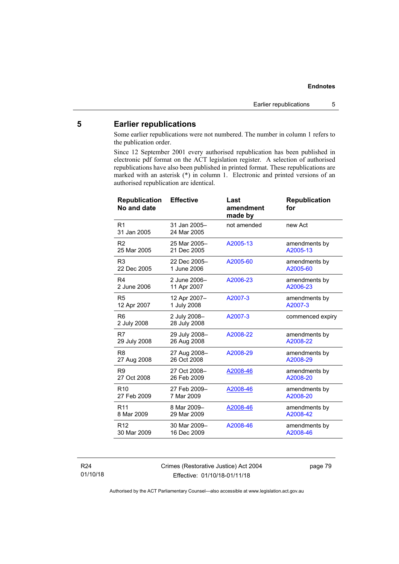### **5 Earlier republications**

Some earlier republications were not numbered. The number in column 1 refers to the publication order.

Since 12 September 2001 every authorised republication has been published in electronic pdf format on the ACT legislation register. A selection of authorised republications have also been published in printed format. These republications are marked with an asterisk (\*) in column 1. Electronic and printed versions of an authorised republication are identical.

| <b>Republication</b><br>No and date | <b>Effective</b>             | Last<br>amendment<br>made by | <b>Republication</b><br>for |
|-------------------------------------|------------------------------|------------------------------|-----------------------------|
| R <sub>1</sub><br>31 Jan 2005       | 31 Jan 2005-<br>24 Mar 2005  | not amended                  | new Act                     |
| R <sub>2</sub>                      | 25 Mar 2005-                 | A2005-13                     | amendments by               |
| 25 Mar 2005                         | 21 Dec 2005                  |                              | A2005-13                    |
| R <sub>3</sub>                      | 22 Dec 2005-                 | A2005-60                     | amendments by               |
| 22 Dec 2005                         | 1 June 2006                  |                              | A2005-60                    |
| R <sub>4</sub>                      | 2 June 2006-                 | A2006-23                     | amendments by               |
| 2 June 2006                         | 11 Apr 2007                  |                              | A2006-23                    |
| R <sub>5</sub>                      | 12 Apr 2007-                 | A2007-3                      | amendments by               |
| 12 Apr 2007                         | 1 July 2008                  |                              | A2007-3                     |
| R <sub>6</sub><br>2 July 2008       | 2 July 2008-<br>28 July 2008 | A2007-3                      | commenced expiry            |
| R7                                  | 29 July 2008-                | A2008-22                     | amendments by               |
| 29 July 2008                        | 26 Aug 2008                  |                              | A2008-22                    |
| R <sub>8</sub>                      | 27 Aug 2008-                 | A2008-29                     | amendments by               |
| 27 Aug 2008                         | 26 Oct 2008                  |                              | A2008-29                    |
| R <sub>9</sub>                      | 27 Oct 2008-                 | A2008-46                     | amendments by               |
| 27 Oct 2008                         | 26 Feb 2009                  |                              | A2008-20                    |
| R <sub>10</sub>                     | 27 Feb 2009-                 | A2008-46                     | amendments by               |
| 27 Feb 2009                         | 7 Mar 2009                   |                              | A2008-20                    |
| R <sub>11</sub>                     | 8 Mar 2009-                  | A2008-46                     | amendments by               |
| 8 Mar 2009                          | 29 Mar 2009                  |                              | A2008-42                    |
| R <sub>12</sub>                     | 30 Mar 2009-                 | A2008-46                     | amendments by               |
| 30 Mar 2009                         | 16 Dec 2009                  |                              | A2008-46                    |

#### R24 01/10/18

Crimes (Restorative Justice) Act 2004 Effective: 01/10/18-01/11/18

page 79